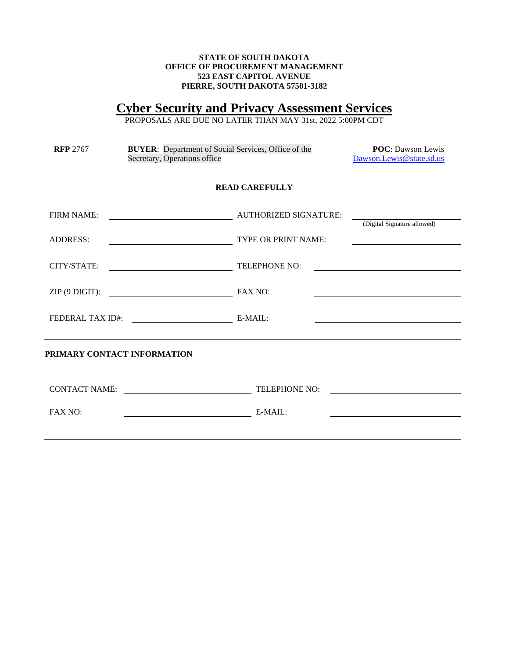## **STATE OF SOUTH DAKOTA OFFICE OF PROCUREMENT MANAGEMENT 523 EAST CAPITOL AVENUE PIERRE, SOUTH DAKOTA 57501-3182**

# **Cyber Security and Privacy Assessment Services**

PROPOSALS ARE DUE NO LATER THAN MAY 31st, 2022 5:00PM CDT

| <b>RFP 2767</b>             | <b>BUYER:</b> Department of Social Services, Office of the<br>Secretary, Operations office                           | <b>POC:</b> Dawson Lewis<br>Dawson.Lewis@state.sd.us |                                                   |
|-----------------------------|----------------------------------------------------------------------------------------------------------------------|------------------------------------------------------|---------------------------------------------------|
|                             |                                                                                                                      | <b>READ CAREFULLY</b>                                |                                                   |
| <b>FIRM NAME:</b>           |                                                                                                                      | <b>AUTHORIZED SIGNATURE:</b>                         | (Digital Signature allowed)                       |
| <b>ADDRESS:</b>             | <u> 1980 - Johann Barn, mars ann an t-Amhain Aonaich an t-Aonaich an t-Aonaich ann an t-Aonaich ann an t-Aonaich</u> | TYPE OR PRINT NAME:                                  | <u> 1989 - Johann Barbara, martxa alemaniar a</u> |
| CITY/STATE:                 |                                                                                                                      | TELEPHONE NO:                                        |                                                   |
| $ZIP$ (9 DIGIT):            | FAX NO:                                                                                                              |                                                      |                                                   |
| <b>FEDERAL TAX ID#:</b>     |                                                                                                                      | $E-MAIL:$                                            |                                                   |
| PRIMARY CONTACT INFORMATION |                                                                                                                      |                                                      |                                                   |
| <b>CONTACT NAME:</b>        | <u> 1989 - Johann Barbara, martin a</u>                                                                              | TELEPHONE NO:                                        |                                                   |
| <b>FAX NO:</b>              | <u> 1980 - Johann Barbara, martin d</u>                                                                              | $E-MAIL:$                                            |                                                   |
|                             |                                                                                                                      |                                                      |                                                   |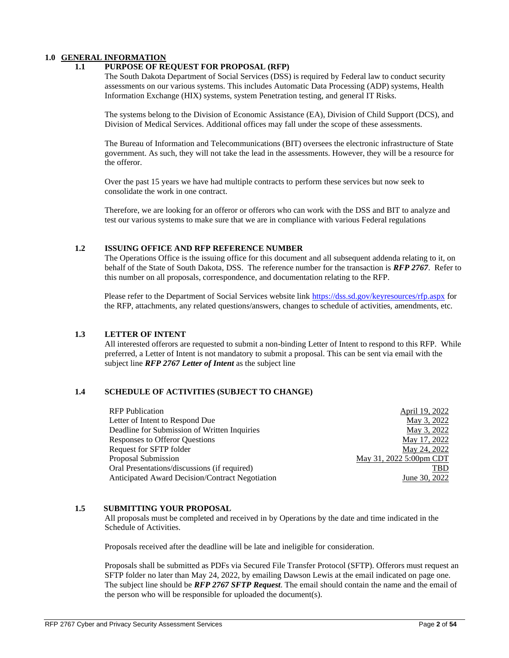## **1.0 GENERAL INFORMATION**

## **1.1 PURPOSE OF REQUEST FOR PROPOSAL (RFP)**

The South Dakota Department of Social Services (DSS) is required by Federal law to conduct security assessments on our various systems. This includes Automatic Data Processing (ADP) systems, Health Information Exchange (HIX) systems, system Penetration testing, and general IT Risks.

The systems belong to the Division of Economic Assistance (EA), Division of Child Support (DCS), and Division of Medical Services. Additional offices may fall under the scope of these assessments.

The Bureau of Information and Telecommunications (BIT) oversees the electronic infrastructure of State government. As such, they will not take the lead in the assessments. However, they will be a resource for the offeror.

Over the past 15 years we have had multiple contracts to perform these services but now seek to consolidate the work in one contract.

Therefore, we are looking for an offeror or offerors who can work with the DSS and BIT to analyze and test our various systems to make sure that we are in compliance with various Federal regulations

### **1.2 ISSUING OFFICE AND RFP REFERENCE NUMBER**

The Operations Office is the issuing office for this document and all subsequent addenda relating to it, on behalf of the State of South Dakota, DSS. The reference number for the transaction is *RFP 2767*. Refer to this number on all proposals, correspondence, and documentation relating to the RFP.

Please refer to the Department of Social Services website link <https://dss.sd.gov/keyresources/rfp.aspx> for the RFP, attachments, any related questions/answers, changes to schedule of activities, amendments, etc.

#### **1.3 LETTER OF INTENT**

All interested offerors are requested to submit a non-binding Letter of Intent to respond to this RFP. While preferred, a Letter of Intent is not mandatory to submit a proposal. This can be sent via email with the subject line *RFP 2767 Letter of Intent* as the subject line

## **1.4 SCHEDULE OF ACTIVITIES (SUBJECT TO CHANGE)**

| <b>RFP</b> Publication                          | April 19, 2022          |
|-------------------------------------------------|-------------------------|
| Letter of Intent to Respond Due                 | May 3, 2022             |
| Deadline for Submission of Written Inquiries    | May 3, 2022             |
| Responses to Offeror Questions                  | May 17, 2022            |
| Request for SFTP folder                         | May 24, 2022            |
| Proposal Submission                             | May 31, 2022 5:00pm CDT |
| Oral Presentations/discussions (if required)    | TBD                     |
| Anticipated Award Decision/Contract Negotiation | June 30, 2022           |
|                                                 |                         |

#### **1.5 SUBMITTING YOUR PROPOSAL**

All proposals must be completed and received in by Operations by the date and time indicated in the Schedule of Activities.

Proposals received after the deadline will be late and ineligible for consideration.

Proposals shall be submitted as PDFs via Secured File Transfer Protocol (SFTP). Offerors must request an SFTP folder no later than May 24, 2022, by emailing Dawson Lewis at the email indicated on page one. The subject line should be *RFP 2767 SFTP Request*. The email should contain the name and the email of the person who will be responsible for uploaded the document(s).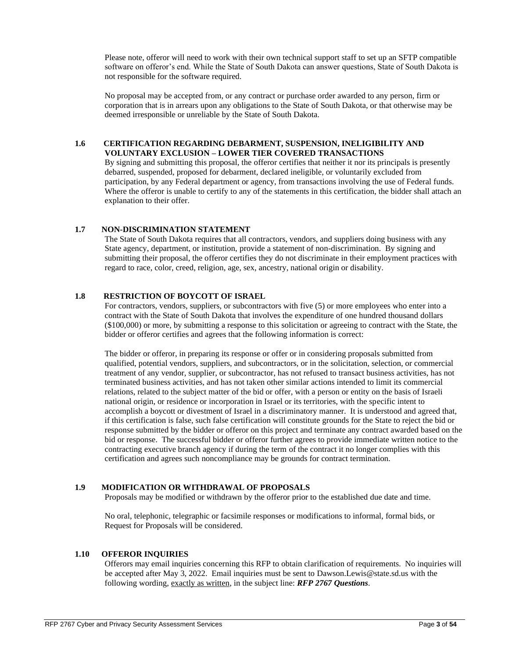Please note, offeror will need to work with their own technical support staff to set up an SFTP compatible software on offeror's end. While the State of South Dakota can answer questions, State of South Dakota is not responsible for the software required.

No proposal may be accepted from, or any contract or purchase order awarded to any person, firm or corporation that is in arrears upon any obligations to the State of South Dakota, or that otherwise may be deemed irresponsible or unreliable by the State of South Dakota.

### **1.6 CERTIFICATION REGARDING DEBARMENT, SUSPENSION, INELIGIBILITY AND VOLUNTARY EXCLUSION – LOWER TIER COVERED TRANSACTIONS**

By signing and submitting this proposal, the offeror certifies that neither it nor its principals is presently debarred, suspended, proposed for debarment, declared ineligible, or voluntarily excluded from participation, by any Federal department or agency, from transactions involving the use of Federal funds. Where the offeror is unable to certify to any of the statements in this certification, the bidder shall attach an explanation to their offer.

## **1.7 NON-DISCRIMINATION STATEMENT**

The State of South Dakota requires that all contractors, vendors, and suppliers doing business with any State agency, department, or institution, provide a statement of non-discrimination. By signing and submitting their proposal, the offeror certifies they do not discriminate in their employment practices with regard to race, color, creed, religion, age, sex, ancestry, national origin or disability.

## **1.8 RESTRICTION OF BOYCOTT OF ISRAEL**

For contractors, vendors, suppliers, or subcontractors with five (5) or more employees who enter into a contract with the State of South Dakota that involves the expenditure of one hundred thousand dollars (\$100,000) or more, by submitting a response to this solicitation or agreeing to contract with the State, the bidder or offeror certifies and agrees that the following information is correct:

The bidder or offeror, in preparing its response or offer or in considering proposals submitted from qualified, potential vendors, suppliers, and subcontractors, or in the solicitation, selection, or commercial treatment of any vendor, supplier, or subcontractor, has not refused to transact business activities, has not terminated business activities, and has not taken other similar actions intended to limit its commercial relations, related to the subject matter of the bid or offer, with a person or entity on the basis of Israeli national origin, or residence or incorporation in Israel or its territories, with the specific intent to accomplish a boycott or divestment of Israel in a discriminatory manner. It is understood and agreed that, if this certification is false, such false certification will constitute grounds for the State to reject the bid or response submitted by the bidder or offeror on this project and terminate any contract awarded based on the bid or response. The successful bidder or offeror further agrees to provide immediate written notice to the contracting executive branch agency if during the term of the contract it no longer complies with this certification and agrees such noncompliance may be grounds for contract termination.

## **1.9 MODIFICATION OR WITHDRAWAL OF PROPOSALS**

Proposals may be modified or withdrawn by the offeror prior to the established due date and time.

No oral, telephonic, telegraphic or facsimile responses or modifications to informal, formal bids, or Request for Proposals will be considered.

### **1.10 OFFEROR INQUIRIES**

Offerors may email inquiries concerning this RFP to obtain clarification of requirements. No inquiries will be accepted after May 3, 2022. Email inquiries must be sent to [Dawson.Lewis@state.sd.us](mailto:Dawson.Lewis@state.sd.us) with the following wording, exactly as written, in the subject line: *RFP 2767 Questions*.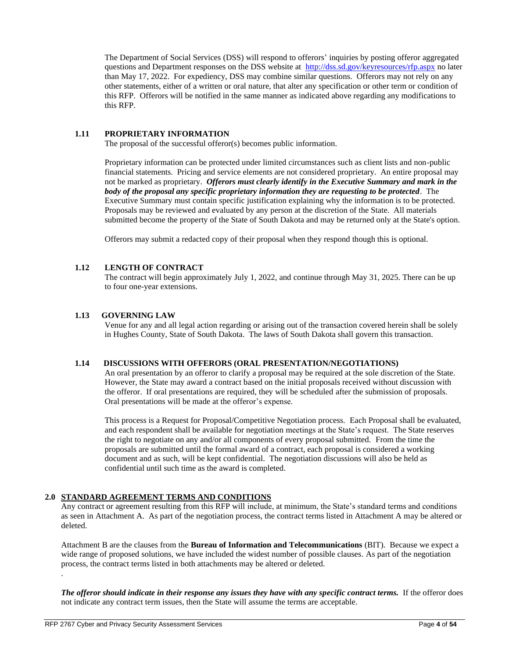The Department of Social Services (DSS) will respond to offerors' inquiries by posting offeror aggregated questions and Department responses on the DSS website at <http://dss.sd.gov/keyresources/rfp.aspx> no later than May 17, 2022. For expediency, DSS may combine similar questions. Offerors may not rely on any other statements, either of a written or oral nature, that alter any specification or other term or condition of this RFP. Offerors will be notified in the same manner as indicated above regarding any modifications to this RFP.

## **1.11 PROPRIETARY INFORMATION**

The proposal of the successful offeror(s) becomes public information.

Proprietary information can be protected under limited circumstances such as client lists and non-public financial statements. Pricing and service elements are not considered proprietary. An entire proposal may not be marked as proprietary. *Offerors must clearly identify in the Executive Summary and mark in the body of the proposal any specific proprietary information they are requesting to be protected*. The Executive Summary must contain specific justification explaining why the information is to be protected. Proposals may be reviewed and evaluated by any person at the discretion of the State. All materials submitted become the property of the State of South Dakota and may be returned only at the State's option.

Offerors may submit a redacted copy of their proposal when they respond though this is optional.

## **1.12 LENGTH OF CONTRACT**

The contract will begin approximately July 1, 2022, and continue through May 31, 2025. There can be up to four one-year extensions.

## **1.13 GOVERNING LAW**

Venue for any and all legal action regarding or arising out of the transaction covered herein shall be solely in Hughes County, State of South Dakota. The laws of South Dakota shall govern this transaction.

## **1.14 DISCUSSIONS WITH OFFERORS (ORAL PRESENTATION/NEGOTIATIONS)**

An oral presentation by an offeror to clarify a proposal may be required at the sole discretion of the State. However, the State may award a contract based on the initial proposals received without discussion with the offeror. If oral presentations are required, they will be scheduled after the submission of proposals. Oral presentations will be made at the offeror's expense.

This process is a Request for Proposal/Competitive Negotiation process. Each Proposal shall be evaluated, and each respondent shall be available for negotiation meetings at the State's request. The State reserves the right to negotiate on any and/or all components of every proposal submitted. From the time the proposals are submitted until the formal award of a contract, each proposal is considered a working document and as such, will be kept confidential. The negotiation discussions will also be held as confidential until such time as the award is completed.

## **2.0 STANDARD AGREEMENT TERMS AND CONDITIONS**

Any contract or agreement resulting from this RFP will include, at minimum, the State's standard terms and conditions as seen in Attachment A. As part of the negotiation process, the contract terms listed in Attachment A may be altered or deleted.

Attachment B are the clauses from the **Bureau of Information and Telecommunications** (BIT). Because we expect a wide range of proposed solutions, we have included the widest number of possible clauses. As part of the negotiation process, the contract terms listed in both attachments may be altered or deleted. .

*The offeror should indicate in their response any issues they have with any specific contract terms.* If the offeror does not indicate any contract term issues, then the State will assume the terms are acceptable.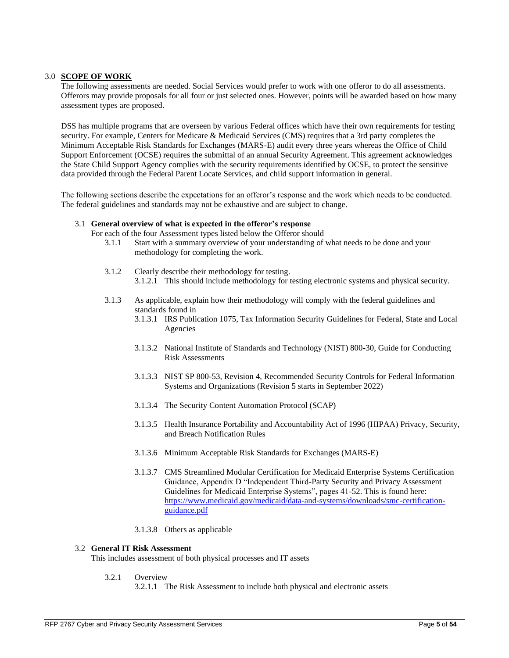### 3.0 **SCOPE OF WORK**

The following assessments are needed. Social Services would prefer to work with one offeror to do all assessments. Offerors may provide proposals for all four or just selected ones. However, points will be awarded based on how many assessment types are proposed.

DSS has multiple programs that are overseen by various Federal offices which have their own requirements for testing security. For example, Centers for Medicare & Medicaid Services (CMS) requires that a 3rd party completes the Minimum Acceptable Risk Standards for Exchanges (MARS-E) audit every three years whereas the Office of Child Support Enforcement (OCSE) requires the submittal of an annual Security Agreement. This agreement acknowledges the State Child Support Agency complies with the security requirements identified by OCSE, to protect the sensitive data provided through the Federal Parent Locate Services, and child support information in general.

The following sections describe the expectations for an offeror's response and the work which needs to be conducted. The federal guidelines and standards may not be exhaustive and are subject to change.

#### 3.1 **General overview of what is expected in the offeror's response**

For each of the four Assessment types listed below the Offeror should

- 3.1.1 Start with a summary overview of your understanding of what needs to be done and your methodology for completing the work.
- 3.1.2 Clearly describe their methodology for testing. 3.1.2.1 This should include methodology for testing electronic systems and physical security.
- 3.1.3 As applicable, explain how their methodology will comply with the federal guidelines and standards found in
	- 3.1.3.1 IRS Publication 1075, Tax Information Security Guidelines for Federal, State and Local Agencies
	- 3.1.3.2 National Institute of Standards and Technology (NIST) 800-30, Guide for Conducting Risk Assessments
	- 3.1.3.3 NIST SP 800-53, Revision 4, Recommended Security Controls for Federal Information Systems and Organizations (Revision 5 starts in September 2022)
	- 3.1.3.4 The Security Content Automation Protocol (SCAP)
	- 3.1.3.5 Health Insurance Portability and Accountability Act of 1996 (HIPAA) Privacy, Security, and Breach Notification Rules
	- 3.1.3.6 Minimum Acceptable Risk Standards for Exchanges (MARS-E)
	- 3.1.3.7 CMS Streamlined Modular Certification for Medicaid Enterprise Systems Certification Guidance, Appendix D "Independent Third-Party Security and Privacy Assessment Guidelines for Medicaid Enterprise Systems", pages 41-52. This is found here: [https://www.medicaid.gov/medicaid/data-and-systems/downloads/smc-certification](https://www.medicaid.gov/medicaid/data-and-systems/downloads/smc-certification-guidance.pdf)[guidance.pdf](https://www.medicaid.gov/medicaid/data-and-systems/downloads/smc-certification-guidance.pdf)
	- 3.1.3.8 Others as applicable

## 3.2 **General IT Risk Assessment**

This includes assessment of both physical processes and IT assets

- 3.2.1 Overview
	- 3.2.1.1 The Risk Assessment to include both physical and electronic assets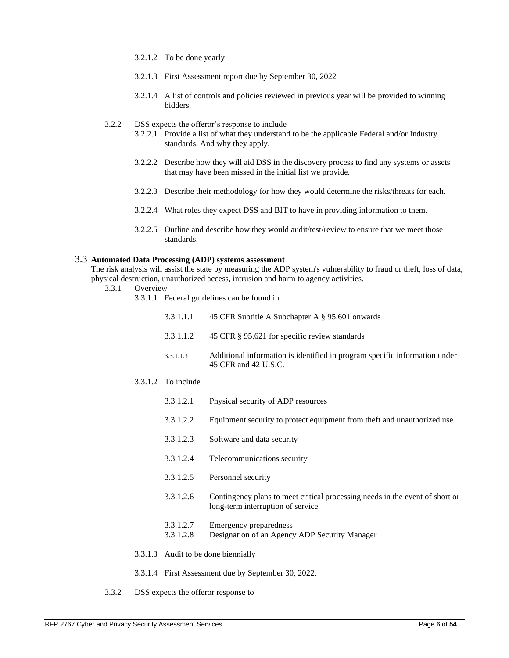- 3.2.1.2 To be done yearly
- 3.2.1.3 First Assessment report due by September 30, 2022
- 3.2.1.4 A list of controls and policies reviewed in previous year will be provided to winning bidders.
- 3.2.2 DSS expects the offeror's response to include
	- 3.2.2.1 Provide a list of what they understand to be the applicable Federal and/or Industry standards. And why they apply.
	- 3.2.2.2 Describe how they will aid DSS in the discovery process to find any systems or assets that may have been missed in the initial list we provide.
	- 3.2.2.3 Describe their methodology for how they would determine the risks/threats for each.
	- 3.2.2.4 What roles they expect DSS and BIT to have in providing information to them.
	- 3.2.2.5 Outline and describe how they would audit/test/review to ensure that we meet those standards.

#### 3.3 **Automated Data Processing (ADP) systems assessment**

The risk analysis will assist the state by measuring the ADP system's vulnerability to fraud or theft, loss of data, physical destruction, unauthorized access, intrusion and harm to agency activities.

- 3.3.1 Overview
	- 3.3.1.1 Federal guidelines can be found in

| 3.3.1.1.1                                           | 45 CFR Subtitle A Subchapter A § 95.601 onwards                                                                   |  |  |  |  |  |
|-----------------------------------------------------|-------------------------------------------------------------------------------------------------------------------|--|--|--|--|--|
| 3.3.1.1.2                                           | 45 CFR § 95.621 for specific review standards                                                                     |  |  |  |  |  |
| 3.3.1.1.3                                           | Additional information is identified in program specific information under<br>45 CFR and 42 U.S.C.                |  |  |  |  |  |
| $3.3.1.2$ To include                                |                                                                                                                   |  |  |  |  |  |
| 3.3.1.2.1                                           | Physical security of ADP resources                                                                                |  |  |  |  |  |
| 3.3.1.2.2                                           | Equipment security to protect equipment from theft and unauthorized use                                           |  |  |  |  |  |
| 3.3.1.2.3                                           | Software and data security                                                                                        |  |  |  |  |  |
| 3.3.1.2.4                                           | Telecommunications security                                                                                       |  |  |  |  |  |
| 3.3.1.2.5                                           | Personnel security                                                                                                |  |  |  |  |  |
| 3.3.1.2.6                                           | Contingency plans to meet critical processing needs in the event of short or<br>long-term interruption of service |  |  |  |  |  |
| 3.3.1.2.7<br>3.3.1.2.8                              | Emergency preparedness<br>Designation of an Agency ADP Security Manager                                           |  |  |  |  |  |
|                                                     | 3.3.1.3 Audit to be done biennially                                                                               |  |  |  |  |  |
| 3.3.1.4 First Assessment due by September 30, 2022, |                                                                                                                   |  |  |  |  |  |

3.3.2 DSS expects the offeror response to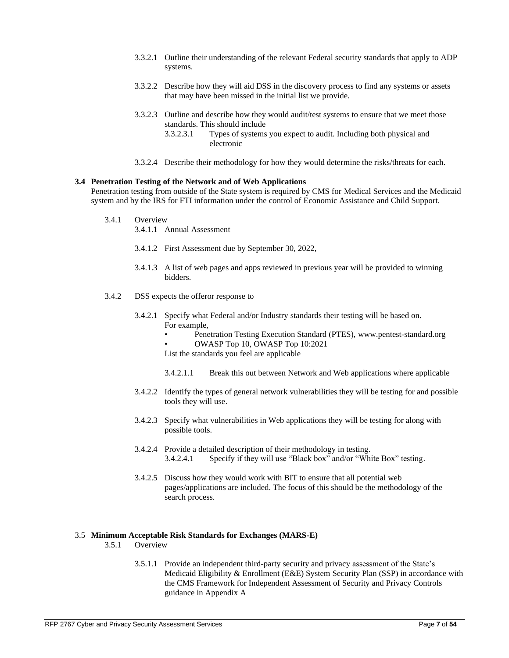- 3.3.2.1 Outline their understanding of the relevant Federal security standards that apply to ADP systems.
- 3.3.2.2 Describe how they will aid DSS in the discovery process to find any systems or assets that may have been missed in the initial list we provide.
- 3.3.2.3 Outline and describe how they would audit/test systems to ensure that we meet those standards. This should include
	- 3.3.2.3.1 Types of systems you expect to audit. Including both physical and electronic
- 3.3.2.4 Describe their methodology for how they would determine the risks/threats for each.

#### **3.4 Penetration Testing of the Network and of Web Applications**

Penetration testing from outside of the State system is required by CMS for Medical Services and the Medicaid system and by the IRS for FTI information under the control of Economic Assistance and Child Support.

3.4.1 Overview

3.4.1.1 Annual Assessment

- 3.4.1.2 First Assessment due by September 30, 2022,
- 3.4.1.3 A list of web pages and apps reviewed in previous year will be provided to winning bidders.
- 3.4.2 DSS expects the offeror response to
	- 3.4.2.1 Specify what Federal and/or Industry standards their testing will be based on. For example,
		- Penetration Testing Execution Standard (PTES)[, www.pentest-standard.org](http://www.pentest-standard.org/) • OWASP Top 10, [OWASP Top 10:2021](https://owasp.org/Top10/)

List the standards you feel are applicable

- 3.4.2.1.1 Break this out between Network and Web applications where applicable
- 3.4.2.2 Identify the types of general network vulnerabilities they will be testing for and possible tools they will use.
- 3.4.2.3 Specify what vulnerabilities in Web applications they will be testing for along with possible tools.
- 3.4.2.4 Provide a detailed description of their methodology in testing. 3.4.2.4.1 Specify if they will use "Black box" and/or "White Box" testing.
- 3.4.2.5 Discuss how they would work with BIT to ensure that all potential web pages/applications are included. The focus of this should be the methodology of the search process.

#### 3.5 **Minimum Acceptable Risk Standards for Exchanges (MARS-E)**

- 3.5.1 Overview
	- 3.5.1.1 Provide an independent third-party security and privacy assessment of the State's Medicaid Eligibility & Enrollment (E&E) System Security Plan (SSP) in accordance with the CMS Framework for Independent Assessment of Security and Privacy Controls guidance in Appendix A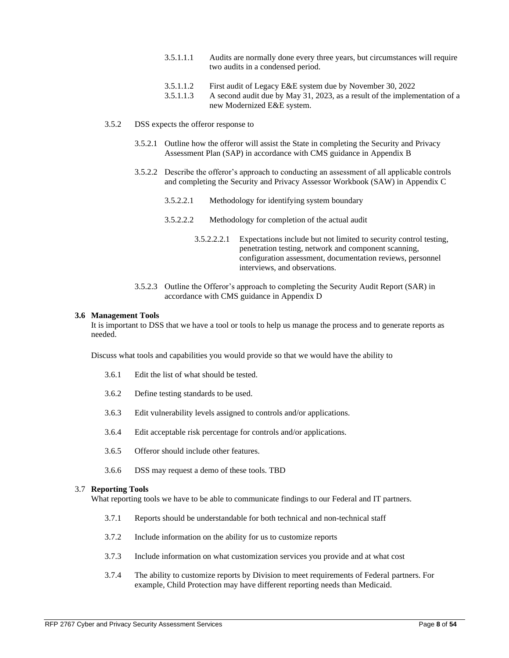- 3.5.1.1.1 Audits are normally done every three years, but circumstances will require two audits in a condensed period.
- 3.5.1.1.2 First audit of Legacy E&E system due by November 30, 2022

3.5.1.1.3 A second audit due by May 31, 2023, as a result of the implementation of a new Modernized E&E system.

- 3.5.2 DSS expects the offeror response to
	- 3.5.2.1 Outline how the offeror will assist the State in completing the Security and Privacy Assessment Plan (SAP) in accordance with CMS guidance in Appendix B
	- 3.5.2.2 Describe the offeror's approach to conducting an assessment of all applicable controls and completing the Security and Privacy Assessor Workbook (SAW) in Appendix C
		- 3.5.2.2.1 Methodology for identifying system boundary
		- 3.5.2.2.2 Methodology for completion of the actual audit
			- 3.5.2.2.2.1 Expectations include but not limited to security control testing, penetration testing, network and component scanning, configuration assessment, documentation reviews, personnel interviews, and observations.
	- 3.5.2.3 Outline the Offeror's approach to completing the Security Audit Report (SAR) in accordance with CMS guidance in Appendix D

#### **3.6 Management Tools**

It is important to DSS that we have a tool or tools to help us manage the process and to generate reports as needed.

Discuss what tools and capabilities you would provide so that we would have the ability to

- 3.6.1 Edit the list of what should be tested.
- 3.6.2 Define testing standards to be used.
- 3.6.3 Edit vulnerability levels assigned to controls and/or applications.
- 3.6.4 Edit acceptable risk percentage for controls and/or applications.
- 3.6.5 Offeror should include other features.
- 3.6.6 DSS may request a demo of these tools. TBD

### 3.7 **Reporting Tools**

What reporting tools we have to be able to communicate findings to our Federal and IT partners.

- 3.7.1 Reports should be understandable for both technical and non-technical staff
- 3.7.2 Include information on the ability for us to customize reports
- 3.7.3 Include information on what customization services you provide and at what cost
- 3.7.4 The ability to customize reports by Division to meet requirements of Federal partners. For example, Child Protection may have different reporting needs than Medicaid.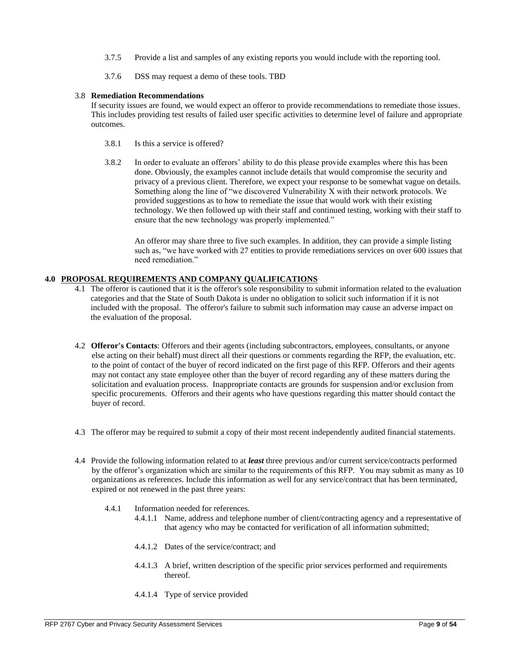- 3.7.5 Provide a list and samples of any existing reports you would include with the reporting tool.
- 3.7.6 DSS may request a demo of these tools. TBD

### 3.8 **Remediation Recommendations**

If security issues are found, we would expect an offeror to provide recommendations to remediate those issues. This includes providing test results of failed user specific activities to determine level of failure and appropriate outcomes.

- 3.8.1 Is this a service is offered?
- 3.8.2 In order to evaluate an offerors' ability to do this please provide examples where this has been done. Obviously, the examples cannot include details that would compromise the security and privacy of a previous client. Therefore, we expect your response to be somewhat vague on details. Something along the line of "we discovered Vulnerability X with their network protocols. We provided suggestions as to how to remediate the issue that would work with their existing technology. We then followed up with their staff and continued testing, working with their staff to ensure that the new technology was properly implemented."

An offeror may share three to five such examples. In addition, they can provide a simple listing such as, "we have worked with 27 entities to provide remediations services on over 600 issues that need remediation."

## **4.0 PROPOSAL REQUIREMENTS AND COMPANY QUALIFICATIONS**

- 4.1 The offeror is cautioned that it is the offeror's sole responsibility to submit information related to the evaluation categories and that the State of South Dakota is under no obligation to solicit such information if it is not included with the proposal. The offeror's failure to submit such information may cause an adverse impact on the evaluation of the proposal.
- 4.2 **Offeror's Contacts**: Offerors and their agents (including subcontractors, employees, consultants, or anyone else acting on their behalf) must direct all their questions or comments regarding the RFP, the evaluation, etc. to the point of contact of the buyer of record indicated on the first page of this RFP. Offerors and their agents may not contact any state employee other than the buyer of record regarding any of these matters during the solicitation and evaluation process. Inappropriate contacts are grounds for suspension and/or exclusion from specific procurements. Offerors and their agents who have questions regarding this matter should contact the buyer of record.
- 4.3 The offeror may be required to submit a copy of their most recent independently audited financial statements.
- 4.4 Provide the following information related to at *least* three previous and/or current service/contracts performed by the offeror's organization which are similar to the requirements of this RFP. You may submit as many as 10 organizations as references. Include this information as well for any service/contract that has been terminated, expired or not renewed in the past three years:
	- 4.4.1 Information needed for references.
		- 4.4.1.1 Name, address and telephone number of client/contracting agency and a representative of that agency who may be contacted for verification of all information submitted;
		- 4.4.1.2 Dates of the service/contract; and
		- 4.4.1.3 A brief, written description of the specific prior services performed and requirements thereof.
		- 4.4.1.4 Type of service provided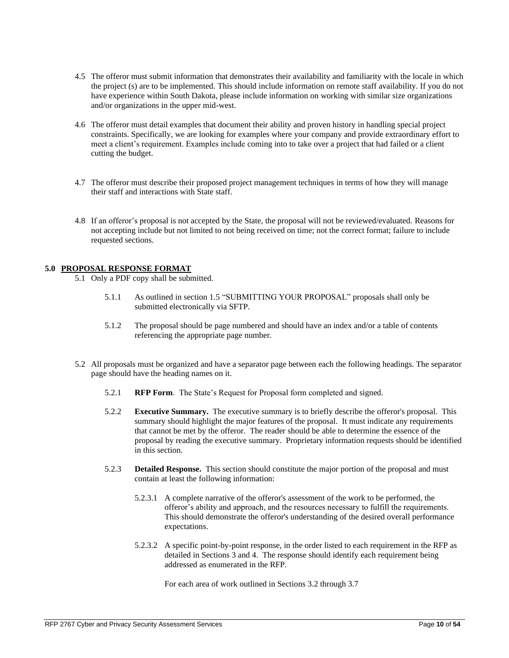- 4.5 The offeror must submit information that demonstrates their availability and familiarity with the locale in which the project (s) are to be implemented. This should include information on remote staff availability. If you do not have experience within South Dakota, please include information on working with similar size organizations and/or organizations in the upper mid-west.
- 4.6 The offeror must detail examples that document their ability and proven history in handling special project constraints. Specifically, we are looking for examples where your company and provide extraordinary effort to meet a client's requirement. Examples include coming into to take over a project that had failed or a client cutting the budget.
- 4.7 The offeror must describe their proposed project management techniques in terms of how they will manage their staff and interactions with State staff.
- 4.8 If an offeror's proposal is not accepted by the State, the proposal will not be reviewed/evaluated. Reasons for not accepting include but not limited to not being received on time; not the correct format; failure to include requested sections.

## **5.0 PROPOSAL RESPONSE FORMAT**

- 5.1 Only a PDF copy shall be submitted.
	- 5.1.1 As outlined in section 1.5 "SUBMITTING YOUR PROPOSAL" proposals shall only be submitted electronically via SFTP.
	- 5.1.2 The proposal should be page numbered and should have an index and/or a table of contents referencing the appropriate page number.
- 5.2 All proposals must be organized and have a separator page between each the following headings. The separator page should have the heading names on it.
	- 5.2.1 **RFP Form**. The State's Request for Proposal form completed and signed.
	- 5.2.2 **Executive Summary.** The executive summary is to briefly describe the offeror's proposal. This summary should highlight the major features of the proposal. It must indicate any requirements that cannot be met by the offeror. The reader should be able to determine the essence of the proposal by reading the executive summary. Proprietary information requests should be identified in this section.
	- 5.2.3 **Detailed Response.** This section should constitute the major portion of the proposal and must contain at least the following information:
		- 5.2.3.1 A complete narrative of the offeror's assessment of the work to be performed, the offeror's ability and approach, and the resources necessary to fulfill the requirements. This should demonstrate the offeror's understanding of the desired overall performance expectations.
		- 5.2.3.2 A specific point-by-point response, in the order listed to each requirement in the RFP as detailed in Sections 3 and 4. The response should identify each requirement being addressed as enumerated in the RFP.

For each area of work outlined in Sections 3.2 through 3.7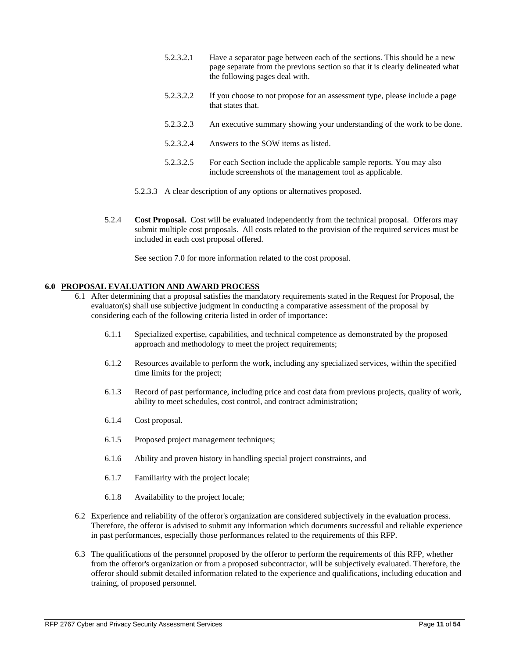- 5.2.3.2.1 Have a separator page between each of the sections. This should be a new page separate from the previous section so that it is clearly delineated what the following pages deal with.
- 5.2.3.2.2 If you choose to not propose for an assessment type, please include a page that states that.
- 5.2.3.2.3 An executive summary showing your understanding of the work to be done.
- 5.2.3.2.4 Answers to the SOW items as listed.
- 5.2.3.2.5 For each Section include the applicable sample reports. You may also include screenshots of the management tool as applicable.
- 5.2.3.3 A clear description of any options or alternatives proposed.
- 5.2.4 **Cost Proposal.** Cost will be evaluated independently from the technical proposal. Offerors may submit multiple cost proposals. All costs related to the provision of the required services must be included in each cost proposal offered.

See section 7.0 for more information related to the cost proposal.

## **6.0 PROPOSAL EVALUATION AND AWARD PROCESS**

- 6.1 After determining that a proposal satisfies the mandatory requirements stated in the Request for Proposal, the evaluator(s) shall use subjective judgment in conducting a comparative assessment of the proposal by considering each of the following criteria listed in order of importance:
	- 6.1.1 Specialized expertise, capabilities, and technical competence as demonstrated by the proposed approach and methodology to meet the project requirements;
	- 6.1.2 Resources available to perform the work, including any specialized services, within the specified time limits for the project;
	- 6.1.3 Record of past performance, including price and cost data from previous projects, quality of work, ability to meet schedules, cost control, and contract administration;
	- 6.1.4 Cost proposal.
	- 6.1.5 Proposed project management techniques;
	- 6.1.6 Ability and proven history in handling special project constraints, and
	- 6.1.7 Familiarity with the project locale;
	- 6.1.8 Availability to the project locale;
- 6.2 Experience and reliability of the offeror's organization are considered subjectively in the evaluation process. Therefore, the offeror is advised to submit any information which documents successful and reliable experience in past performances, especially those performances related to the requirements of this RFP.
- 6.3 The qualifications of the personnel proposed by the offeror to perform the requirements of this RFP, whether from the offeror's organization or from a proposed subcontractor, will be subjectively evaluated. Therefore, the offeror should submit detailed information related to the experience and qualifications, including education and training, of proposed personnel.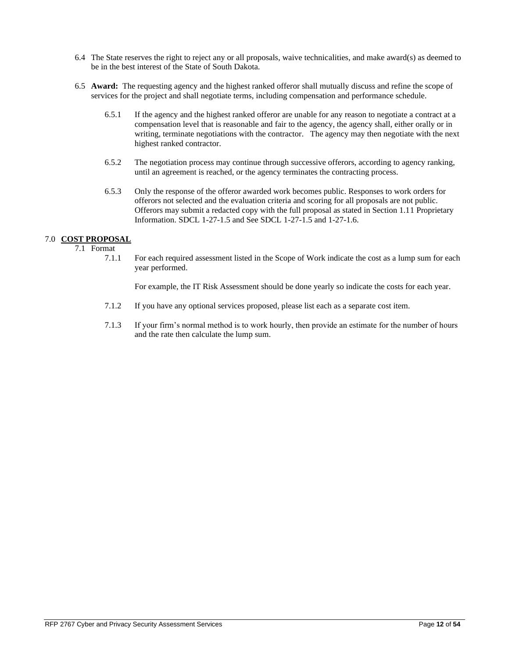- 6.4 The State reserves the right to reject any or all proposals, waive technicalities, and make award(s) as deemed to be in the best interest of the State of South Dakota.
- 6.5 **Award:** The requesting agency and the highest ranked offeror shall mutually discuss and refine the scope of services for the project and shall negotiate terms, including compensation and performance schedule.
	- 6.5.1 If the agency and the highest ranked offeror are unable for any reason to negotiate a contract at a compensation level that is reasonable and fair to the agency, the agency shall, either orally or in writing, terminate negotiations with the contractor. The agency may then negotiate with the next highest ranked contractor.
	- 6.5.2 The negotiation process may continue through successive offerors, according to agency ranking, until an agreement is reached, or the agency terminates the contracting process.
	- 6.5.3 Only the response of the offeror awarded work becomes public. Responses to work orders for offerors not selected and the evaluation criteria and scoring for all proposals are not public. Offerors may submit a redacted copy with the full proposal as stated in Section 1.11 Proprietary Information. SDCL 1-27-1.5 and See SDCL 1-27-1.5 and 1-27-1.6.

## 7.0 **COST PROPOSAL**

7.1 Format

7.1.1 For each required assessment listed in the Scope of Work indicate the cost as a lump sum for each year performed.

For example, the IT Risk Assessment should be done yearly so indicate the costs for each year.

- 7.1.2 If you have any optional services proposed, please list each as a separate cost item.
- 7.1.3 If your firm's normal method is to work hourly, then provide an estimate for the number of hours and the rate then calculate the lump sum.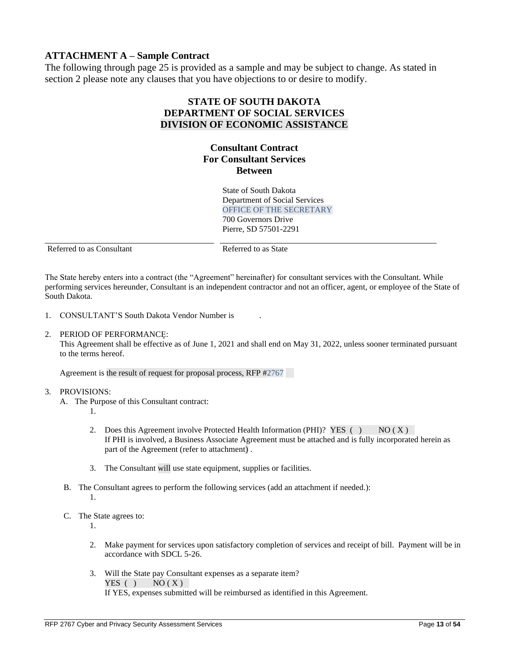# **ATTACHMENT A – Sample Contract**

The following through page 25 is provided as a sample and may be subject to change. As stated in section 2 please note any clauses that you have objections to or desire to modify.

# **STATE OF SOUTH DAKOTA DEPARTMENT OF SOCIAL SERVICES DIVISION OF ECONOMIC ASSISTANCE**

# **Consultant Contract For Consultant Services Between**

State of South Dakota Department of Social Services OFFICE OF THE SECRETARY 700 Governors Drive Pierre, SD 57501-2291

Referred to as Consultant Referred to as State

The State hereby enters into a contract (the "Agreement" hereinafter) for consultant services with the Consultant. While performing services hereunder, Consultant is an independent contractor and not an officer, agent, or employee of the State of South Dakota.

- 1. CONSULTANT'S South Dakota Vendor Number is .
- 2. PERIOD OF PERFORMANCE:

This Agreement shall be effective as of June 1, 2021 and shall end on May 31, 2022, unless sooner terminated pursuant to the terms hereof.

Agreement is the result of request for proposal process, RFP #2767

#### 3. PROVISIONS:

- A. The Purpose of this Consultant contract:
	- 1.
	- 2. Does this Agreement involve Protected Health Information (PHI)? YES () NO (X) If PHI is involved, a Business Associate Agreement must be attached and is fully incorporated herein as part of the Agreement (refer to attachment) .
	- 3. The Consultant will use state equipment, supplies or facilities.
- B. The Consultant agrees to perform the following services (add an attachment if needed.): 1.
- C. The State agrees to:

1.

- 2. Make payment for services upon satisfactory completion of services and receipt of bill. Payment will be in accordance with SDCL 5-26.
- 3. Will the State pay Consultant expenses as a separate item? YES ( )  $NO(X)$ If YES, expenses submitted will be reimbursed as identified in this Agreement.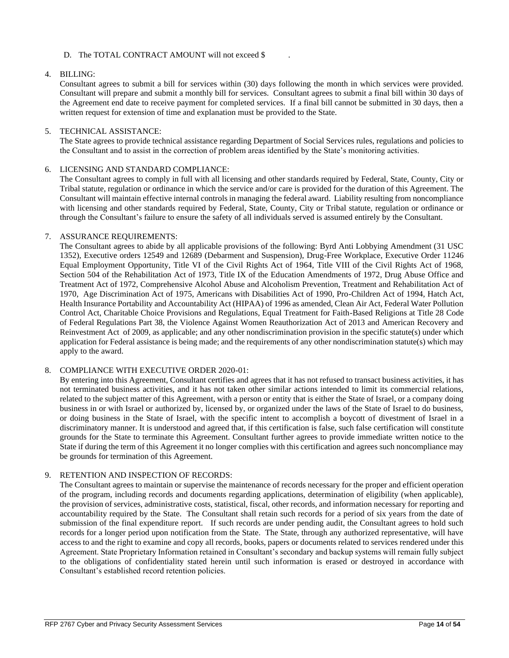## D. The TOTAL CONTRACT AMOUNT will not exceed \$

## 4. BILLING:

Consultant agrees to submit a bill for services within (30) days following the month in which services were provided. Consultant will prepare and submit a monthly bill for services. Consultant agrees to submit a final bill within 30 days of the Agreement end date to receive payment for completed services. If a final bill cannot be submitted in 30 days, then a written request for extension of time and explanation must be provided to the State.

### 5. TECHNICAL ASSISTANCE:

The State agrees to provide technical assistance regarding Department of Social Services rules, regulations and policies to the Consultant and to assist in the correction of problem areas identified by the State's monitoring activities.

### 6. LICENSING AND STANDARD COMPLIANCE:

The Consultant agrees to comply in full with all licensing and other standards required by Federal, State, County, City or Tribal statute, regulation or ordinance in which the service and/or care is provided for the duration of this Agreement. The Consultant will maintain effective internal controls in managing the federal award. Liability resulting from noncompliance with licensing and other standards required by Federal, State, County, City or Tribal statute, regulation or ordinance or through the Consultant's failure to ensure the safety of all individuals served is assumed entirely by the Consultant.

### 7. ASSURANCE REQUIREMENTS:

The Consultant agrees to abide by all applicable provisions of the following: Byrd Anti Lobbying Amendment (31 USC 1352), Executive orders 12549 and 12689 (Debarment and Suspension), Drug-Free Workplace, Executive Order 11246 Equal Employment Opportunity, Title VI of the Civil Rights Act of 1964, Title VIII of the Civil Rights Act of 1968, Section 504 of the Rehabilitation Act of 1973, Title IX of the Education Amendments of 1972, Drug Abuse Office and Treatment Act of 1972, Comprehensive Alcohol Abuse and Alcoholism Prevention, Treatment and Rehabilitation Act of 1970, Age Discrimination Act of 1975, Americans with Disabilities Act of 1990, Pro-Children Act of 1994, Hatch Act, Health Insurance Portability and Accountability Act (HIPAA) of 1996 as amended, Clean Air Act, Federal Water Pollution Control Act, Charitable Choice Provisions and Regulations, Equal Treatment for Faith-Based Religions at Title 28 Code of Federal Regulations Part 38, the Violence Against Women Reauthorization Act of 2013 and American Recovery and Reinvestment Act of 2009, as applicable; and any other nondiscrimination provision in the specific statute(s) under which application for Federal assistance is being made; and the requirements of any other nondiscrimination statute(s) which may apply to the award.

## 8. COMPLIANCE WITH EXECUTIVE ORDER 2020-01:

By entering into this Agreement, Consultant certifies and agrees that it has not refused to transact business activities, it has not terminated business activities, and it has not taken other similar actions intended to limit its commercial relations, related to the subject matter of this Agreement, with a person or entity that is either the State of Israel, or a company doing business in or with Israel or authorized by, licensed by, or organized under the laws of the State of Israel to do business, or doing business in the State of Israel, with the specific intent to accomplish a boycott of divestment of Israel in a discriminatory manner. It is understood and agreed that, if this certification is false, such false certification will constitute grounds for the State to terminate this Agreement. Consultant further agrees to provide immediate written notice to the State if during the term of this Agreement it no longer complies with this certification and agrees such noncompliance may be grounds for termination of this Agreement.

## 9. RETENTION AND INSPECTION OF RECORDS:

The Consultant agrees to maintain or supervise the maintenance of records necessary for the proper and efficient operation of the program, including records and documents regarding applications, determination of eligibility (when applicable), the provision of services, administrative costs, statistical, fiscal, other records, and information necessary for reporting and accountability required by the State. The Consultant shall retain such records for a period of six years from the date of submission of the final expenditure report. If such records are under pending audit, the Consultant agrees to hold such records for a longer period upon notification from the State. The State, through any authorized representative, will have access to and the right to examine and copy all records, books, papers or documents related to services rendered under this Agreement. State Proprietary Information retained in Consultant's secondary and backup systems will remain fully subject to the obligations of confidentiality stated herein until such information is erased or destroyed in accordance with Consultant's established record retention policies.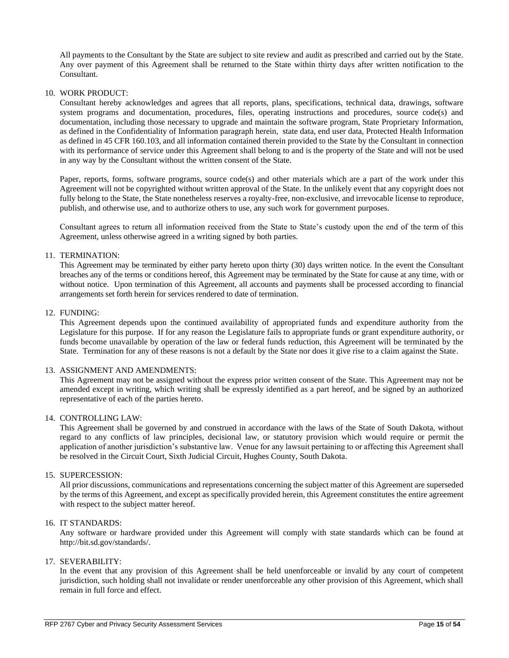All payments to the Consultant by the State are subject to site review and audit as prescribed and carried out by the State. Any over payment of this Agreement shall be returned to the State within thirty days after written notification to the Consultant.

#### 10. WORK PRODUCT:

Consultant hereby acknowledges and agrees that all reports, plans, specifications, technical data, drawings, software system programs and documentation, procedures, files, operating instructions and procedures, source code(s) and documentation, including those necessary to upgrade and maintain the software program, State Proprietary Information, as defined in the Confidentiality of Information paragraph herein, state data, end user data, Protected Health Information as defined in 45 CFR 160.103, and all information contained therein provided to the State by the Consultant in connection with its performance of service under this Agreement shall belong to and is the property of the State and will not be used in any way by the Consultant without the written consent of the State.

Paper, reports, forms, software programs, source code(s) and other materials which are a part of the work under this Agreement will not be copyrighted without written approval of the State. In the unlikely event that any copyright does not fully belong to the State, the State nonetheless reserves a royalty-free, non-exclusive, and irrevocable license to reproduce, publish, and otherwise use, and to authorize others to use, any such work for government purposes.

Consultant agrees to return all information received from the State to State's custody upon the end of the term of this Agreement, unless otherwise agreed in a writing signed by both parties.

### 11. TERMINATION:

This Agreement may be terminated by either party hereto upon thirty (30) days written notice. In the event the Consultant breaches any of the terms or conditions hereof, this Agreement may be terminated by the State for cause at any time, with or without notice. Upon termination of this Agreement, all accounts and payments shall be processed according to financial arrangements set forth herein for services rendered to date of termination.

#### 12. FUNDING:

This Agreement depends upon the continued availability of appropriated funds and expenditure authority from the Legislature for this purpose. If for any reason the Legislature fails to appropriate funds or grant expenditure authority, or funds become unavailable by operation of the law or federal funds reduction, this Agreement will be terminated by the State. Termination for any of these reasons is not a default by the State nor does it give rise to a claim against the State.

#### 13. ASSIGNMENT AND AMENDMENTS:

This Agreement may not be assigned without the express prior written consent of the State. This Agreement may not be amended except in writing, which writing shall be expressly identified as a part hereof, and be signed by an authorized representative of each of the parties hereto.

### 14. CONTROLLING LAW:

This Agreement shall be governed by and construed in accordance with the laws of the State of South Dakota, without regard to any conflicts of law principles, decisional law, or statutory provision which would require or permit the application of another jurisdiction's substantive law. Venue for any lawsuit pertaining to or affecting this Agreement shall be resolved in the Circuit Court, Sixth Judicial Circuit, Hughes County, South Dakota.

#### 15. SUPERCESSION:

All prior discussions, communications and representations concerning the subject matter of this Agreement are superseded by the terms of this Agreement, and except as specifically provided herein, this Agreement constitutes the entire agreement with respect to the subject matter hereof.

### 16. IT STANDARDS:

Any software or hardware provided under this Agreement will comply with state standards which can be found at [http://bit.sd.gov/standards/.](http://bit.sd.gov/standards/)

#### 17. SEVERABILITY:

In the event that any provision of this Agreement shall be held unenforceable or invalid by any court of competent jurisdiction, such holding shall not invalidate or render unenforceable any other provision of this Agreement, which shall remain in full force and effect.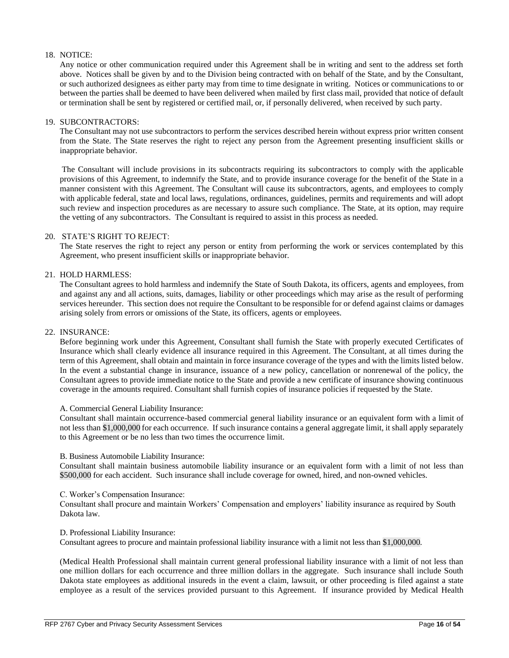## 18. NOTICE:

Any notice or other communication required under this Agreement shall be in writing and sent to the address set forth above. Notices shall be given by and to the Division being contracted with on behalf of the State, and by the Consultant, or such authorized designees as either party may from time to time designate in writing. Notices or communications to or between the parties shall be deemed to have been delivered when mailed by first class mail, provided that notice of default or termination shall be sent by registered or certified mail, or, if personally delivered, when received by such party.

### 19. SUBCONTRACTORS:

The Consultant may not use subcontractors to perform the services described herein without express prior written consent from the State. The State reserves the right to reject any person from the Agreement presenting insufficient skills or inappropriate behavior.

The Consultant will include provisions in its subcontracts requiring its subcontractors to comply with the applicable provisions of this Agreement, to indemnify the State, and to provide insurance coverage for the benefit of the State in a manner consistent with this Agreement. The Consultant will cause its subcontractors, agents, and employees to comply with applicable federal, state and local laws, regulations, ordinances, guidelines, permits and requirements and will adopt such review and inspection procedures as are necessary to assure such compliance. The State, at its option, may require the vetting of any subcontractors. The Consultant is required to assist in this process as needed.

### 20. STATE'S RIGHT TO REJECT:

The State reserves the right to reject any person or entity from performing the work or services contemplated by this Agreement, who present insufficient skills or inappropriate behavior.

## 21. HOLD HARMLESS:

The Consultant agrees to hold harmless and indemnify the State of South Dakota, its officers, agents and employees, from and against any and all actions, suits, damages, liability or other proceedings which may arise as the result of performing services hereunder. This section does not require the Consultant to be responsible for or defend against claims or damages arising solely from errors or omissions of the State, its officers, agents or employees.

#### 22. INSURANCE:

Before beginning work under this Agreement, Consultant shall furnish the State with properly executed Certificates of Insurance which shall clearly evidence all insurance required in this Agreement. The Consultant, at all times during the term of this Agreement, shall obtain and maintain in force insurance coverage of the types and with the limits listed below. In the event a substantial change in insurance, issuance of a new policy, cancellation or nonrenewal of the policy, the Consultant agrees to provide immediate notice to the State and provide a new certificate of insurance showing continuous coverage in the amounts required. Consultant shall furnish copies of insurance policies if requested by the State.

#### A. Commercial General Liability Insurance:

Consultant shall maintain occurrence-based commercial general liability insurance or an equivalent form with a limit of not less than \$1,000,000 for each occurrence. If such insurance contains a general aggregate limit, it shall apply separately to this Agreement or be no less than two times the occurrence limit.

#### B. Business Automobile Liability Insurance:

Consultant shall maintain business automobile liability insurance or an equivalent form with a limit of not less than \$500,000 for each accident. Such insurance shall include coverage for owned, hired, and non-owned vehicles.

#### C. Worker's Compensation Insurance:

Consultant shall procure and maintain Workers' Compensation and employers' liability insurance as required by South Dakota law.

#### D. Professional Liability Insurance:

Consultant agrees to procure and maintain professional liability insurance with a limit not less than \$1,000,000.

(Medical Health Professional shall maintain current general professional liability insurance with a limit of not less than one million dollars for each occurrence and three million dollars in the aggregate. Such insurance shall include South Dakota state employees as additional insureds in the event a claim, lawsuit, or other proceeding is filed against a state employee as a result of the services provided pursuant to this Agreement. If insurance provided by Medical Health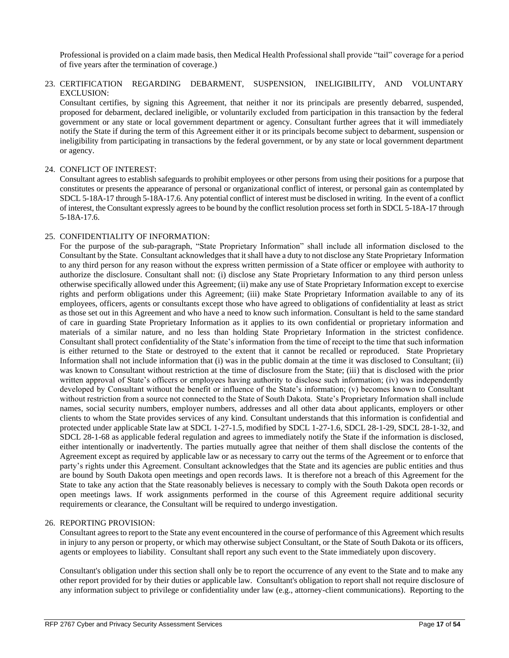Professional is provided on a claim made basis, then Medical Health Professional shall provide "tail" coverage for a period of five years after the termination of coverage.)

23. CERTIFICATION REGARDING DEBARMENT, SUSPENSION, INELIGIBILITY, AND VOLUNTARY EXCLUSION:

Consultant certifies, by signing this Agreement, that neither it nor its principals are presently debarred, suspended, proposed for debarment, declared ineligible, or voluntarily excluded from participation in this transaction by the federal government or any state or local government department or agency. Consultant further agrees that it will immediately notify the State if during the term of this Agreement either it or its principals become subject to debarment, suspension or ineligibility from participating in transactions by the federal government, or by any state or local government department or agency.

### 24. CONFLICT OF INTEREST:

Consultant agrees to establish safeguards to prohibit employees or other persons from using their positions for a purpose that constitutes or presents the appearance of personal or organizational conflict of interest, or personal gain as contemplated by SDCL 5-18A-17 through 5-18A-17.6. Any potential conflict of interest must be disclosed in writing. In the event of a conflict of interest, the Consultant expressly agrees to be bound by the conflict resolution process set forth in SDCL 5-18A-17 through 5-18A-17.6.

### 25. CONFIDENTIALITY OF INFORMATION:

For the purpose of the sub-paragraph, "State Proprietary Information" shall include all information disclosed to the Consultant by the State. Consultant acknowledges that it shall have a duty to not disclose any State Proprietary Information to any third person for any reason without the express written permission of a State officer or employee with authority to authorize the disclosure. Consultant shall not: (i) disclose any State Proprietary Information to any third person unless otherwise specifically allowed under this Agreement; (ii) make any use of State Proprietary Information except to exercise rights and perform obligations under this Agreement; (iii) make State Proprietary Information available to any of its employees, officers, agents or consultants except those who have agreed to obligations of confidentiality at least as strict as those set out in this Agreement and who have a need to know such information. Consultant is held to the same standard of care in guarding State Proprietary Information as it applies to its own confidential or proprietary information and materials of a similar nature, and no less than holding State Proprietary Information in the strictest confidence. Consultant shall protect confidentiality of the State's information from the time of receipt to the time that such information is either returned to the State or destroyed to the extent that it cannot be recalled or reproduced. State Proprietary Information shall not include information that (i) was in the public domain at the time it was disclosed to Consultant; (ii) was known to Consultant without restriction at the time of disclosure from the State; (iii) that is disclosed with the prior written approval of State's officers or employees having authority to disclose such information; (iv) was independently developed by Consultant without the benefit or influence of the State's information; (v) becomes known to Consultant without restriction from a source not connected to the State of South Dakota. State's Proprietary Information shall include names, social security numbers, employer numbers, addresses and all other data about applicants, employers or other clients to whom the State provides services of any kind. Consultant understands that this information is confidential and protected under applicable State law at SDCL 1-27-1.5, modified by SDCL 1-27-1.6, SDCL 28-1-29, SDCL 28-1-32, and SDCL 28-1-68 as applicable federal regulation and agrees to immediately notify the State if the information is disclosed, either intentionally or inadvertently. The parties mutually agree that neither of them shall disclose the contents of the Agreement except as required by applicable law or as necessary to carry out the terms of the Agreement or to enforce that party's rights under this Agreement. Consultant acknowledges that the State and its agencies are public entities and thus are bound by South Dakota open meetings and open records laws. It is therefore not a breach of this Agreement for the State to take any action that the State reasonably believes is necessary to comply with the South Dakota open records or open meetings laws. If work assignments performed in the course of this Agreement require additional security requirements or clearance, the Consultant will be required to undergo investigation.

## 26. REPORTING PROVISION:

Consultant agrees to report to the State any event encountered in the course of performance of this Agreement which results in injury to any person or property, or which may otherwise subject Consultant, or the State of South Dakota or its officers, agents or employees to liability. Consultant shall report any such event to the State immediately upon discovery.

Consultant's obligation under this section shall only be to report the occurrence of any event to the State and to make any other report provided for by their duties or applicable law. Consultant's obligation to report shall not require disclosure of any information subject to privilege or confidentiality under law (e.g., attorney-client communications). Reporting to the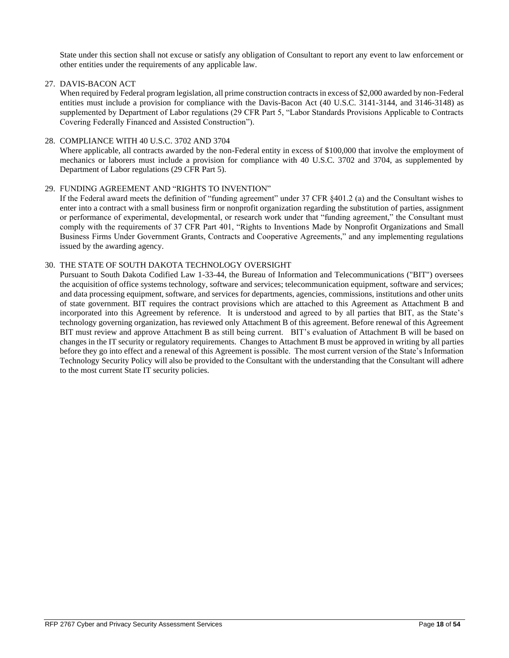State under this section shall not excuse or satisfy any obligation of Consultant to report any event to law enforcement or other entities under the requirements of any applicable law.

27. DAVIS-BACON ACT

When required by Federal program legislation, all prime construction contracts in excess of \$2,000 awarded by non-Federal entities must include a provision for compliance with the Davis-Bacon Act (40 U.S.C. 3141-3144, and 3146-3148) as supplemented by Department of Labor regulations (29 CFR Part 5, "Labor Standards Provisions Applicable to Contracts Covering Federally Financed and Assisted Construction").

28. COMPLIANCE WITH 40 U.S.C. 3702 AND 3704

Where applicable, all contracts awarded by the non-Federal entity in excess of \$100,000 that involve the employment of mechanics or laborers must include a provision for compliance with 40 U.S.C. 3702 and 3704, as supplemented by Department of Labor regulations (29 CFR Part 5).

### 29. FUNDING AGREEMENT AND "RIGHTS TO INVENTION"

If the Federal award meets the definition of "funding agreement" under 37 CFR §401.2 (a) and the Consultant wishes to enter into a contract with a small business firm or nonprofit organization regarding the substitution of parties, assignment or performance of experimental, developmental, or research work under that "funding agreement," the Consultant must comply with the requirements of 37 CFR Part 401, "Rights to Inventions Made by Nonprofit Organizations and Small Business Firms Under Government Grants, Contracts and Cooperative Agreements," and any implementing regulations issued by the awarding agency.

### 30. THE STATE OF SOUTH DAKOTA TECHNOLOGY OVERSIGHT

Pursuant to South Dakota Codified Law 1-33-44, the Bureau of Information and Telecommunications ("BIT") oversees the acquisition of office systems technology, software and services; telecommunication equipment, software and services; and data processing equipment, software, and services for departments, agencies, commissions, institutions and other units of state government. BIT requires the contract provisions which are attached to this Agreement as Attachment B and incorporated into this Agreement by reference. It is understood and agreed to by all parties that BIT, as the State's technology governing organization, has reviewed only Attachment B of this agreement. Before renewal of this Agreement BIT must review and approve Attachment B as still being current. BIT's evaluation of Attachment B will be based on changes in the IT security or regulatory requirements. Changes to Attachment B must be approved in writing by all parties before they go into effect and a renewal of this Agreement is possible. The most current version of the State's Information Technology Security Policy will also be provided to the Consultant with the understanding that the Consultant will adhere to the most current State IT security policies.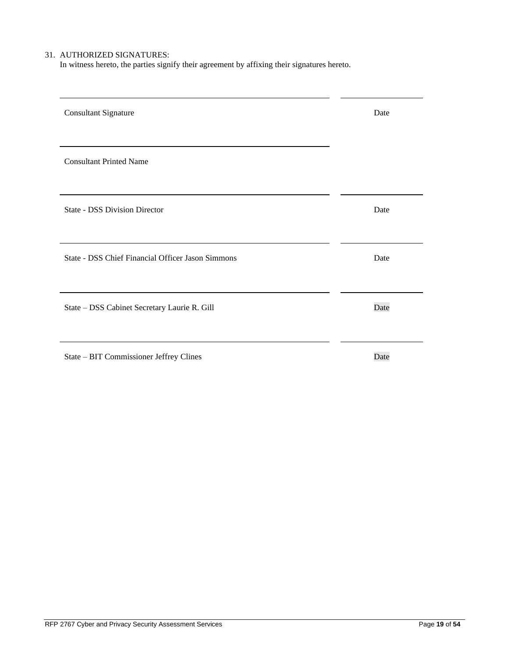# 31. AUTHORIZED SIGNATURES:

In witness hereto, the parties signify their agreement by affixing their signatures hereto.

| <b>Consultant Signature</b>                       | Date |
|---------------------------------------------------|------|
| <b>Consultant Printed Name</b>                    |      |
| <b>State - DSS Division Director</b>              | Date |
| State - DSS Chief Financial Officer Jason Simmons | Date |
| State - DSS Cabinet Secretary Laurie R. Gill      | Date |
| State - BIT Commissioner Jeffrey Clines           | Date |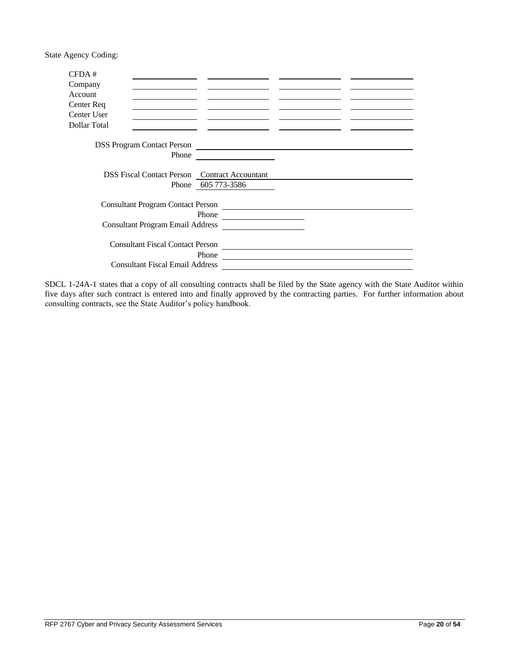State Agency Coding:

| CFDA#        |                                                      |              |  |
|--------------|------------------------------------------------------|--------------|--|
| Company      |                                                      |              |  |
| Account      |                                                      |              |  |
| Center Req   |                                                      |              |  |
| Center User  |                                                      |              |  |
| Dollar Total |                                                      |              |  |
|              | <b>DSS Program Contact Person</b>                    |              |  |
|              | Phone                                                |              |  |
|              | <b>DSS Fiscal Contact Person</b> Contract Accountant |              |  |
|              | Phone                                                | 605 773-3586 |  |
|              | <b>Consultant Program Contact Person</b>             |              |  |
|              | Phone<br><b>Consultant Program Email Address</b>     |              |  |
|              | <b>Consultant Fiscal Contact Person</b>              |              |  |
|              | Phone                                                |              |  |
|              | <b>Consultant Fiscal Email Address</b>               |              |  |

SDCL 1-24A-1 states that a copy of all consulting contracts shall be filed by the State agency with the State Auditor within five days after such contract is entered into and finally approved by the contracting parties. For further information about consulting contracts, see the State Auditor's policy handbook.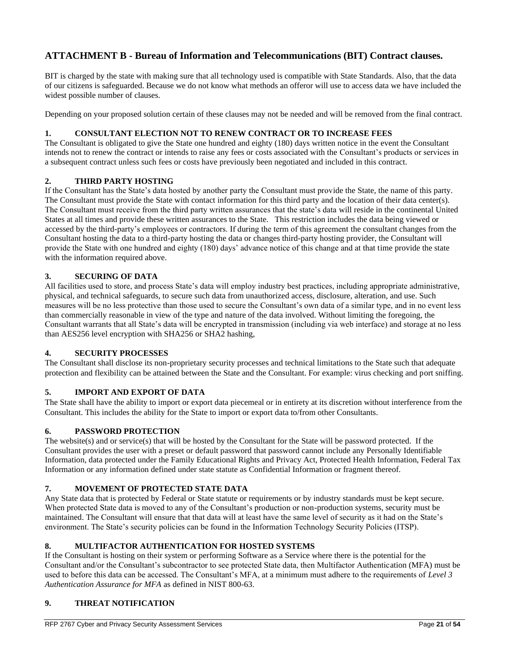# **ATTACHMENT B - Bureau of Information and Telecommunications (BIT) Contract clauses.**

BIT is charged by the state with making sure that all technology used is compatible with State Standards. Also, that the data of our citizens is safeguarded. Because we do not know what methods an offeror will use to access data we have included the widest possible number of clauses.

Depending on your proposed solution certain of these clauses may not be needed and will be removed from the final contract.

# **1. CONSULTANT ELECTION NOT TO RENEW CONTRACT OR TO INCREASE FEES**

The Consultant is obligated to give the State one hundred and eighty (180) days written notice in the event the Consultant intends not to renew the contract or intends to raise any fees or costs associated with the Consultant's products or services in a subsequent contract unless such fees or costs have previously been negotiated and included in this contract.

## **2. THIRD PARTY HOSTING**

If the Consultant has the State's data hosted by another party the Consultant must provide the State, the name of this party. The Consultant must provide the State with contact information for this third party and the location of their data center(s). The Consultant must receive from the third party written assurances that the state's data will reside in the continental United States at all times and provide these written assurances to the State. This restriction includes the data being viewed or accessed by the third-party's employees or contractors. If during the term of this agreement the consultant changes from the Consultant hosting the data to a third-party hosting the data or changes third-party hosting provider, the Consultant will provide the State with one hundred and eighty (180) days' advance notice of this change and at that time provide the state with the information required above.

## **3. SECURING OF DATA**

All facilities used to store, and process State's data will employ industry best practices, including appropriate administrative, physical, and technical safeguards, to secure such data from unauthorized access, disclosure, alteration, and use. Such measures will be no less protective than those used to secure the Consultant's own data of a similar type, and in no event less than commercially reasonable in view of the type and nature of the data involved. Without limiting the foregoing, the Consultant warrants that all State's data will be encrypted in transmission (including via web interface) and storage at no less than AES256 level encryption with SHA256 or SHA2 hashing,

# **4. SECURITY PROCESSES**

The Consultant shall disclose its non-proprietary security processes and technical limitations to the State such that adequate protection and flexibility can be attained between the State and the Consultant. For example: virus checking and port sniffing.

## **5. IMPORT AND EXPORT OF DATA**

The State shall have the ability to import or export data piecemeal or in entirety at its discretion without interference from the Consultant. This includes the ability for the State to import or export data to/from other Consultants.

## **6. PASSWORD PROTECTION**

The website(s) and or service(s) that will be hosted by the Consultant for the State will be password protected. If the Consultant provides the user with a preset or default password that password cannot include any Personally Identifiable Information, data protected under the Family Educational Rights and Privacy Act, Protected Health Information, Federal Tax Information or any information defined under state statute as Confidential Information or fragment thereof.

# **7. MOVEMENT OF PROTECTED STATE DATA**

Any State data that is protected by Federal or State statute or requirements or by industry standards must be kept secure. When protected State data is moved to any of the Consultant's production or non-production systems, security must be maintained. The Consultant will ensure that that data will at least have the same level of security as it had on the State's environment. The State's security policies can be found in the Information Technology Security Policies (ITSP).

# **8. MULTIFACTOR AUTHENTICATION FOR HOSTED SYSTEMS**

If the Consultant is hosting on their system or performing Software as a Service where there is the potential for the Consultant and/or the Consultant's subcontractor to see protected State data, then Multifactor Authentication (MFA) must be used to before this data can be accessed. The Consultant's MFA, at a minimum must adhere to the requirements of *Level 3 Authentication Assurance for MFA* as defined in NIST 800-63.

# **9. THREAT NOTIFICATION**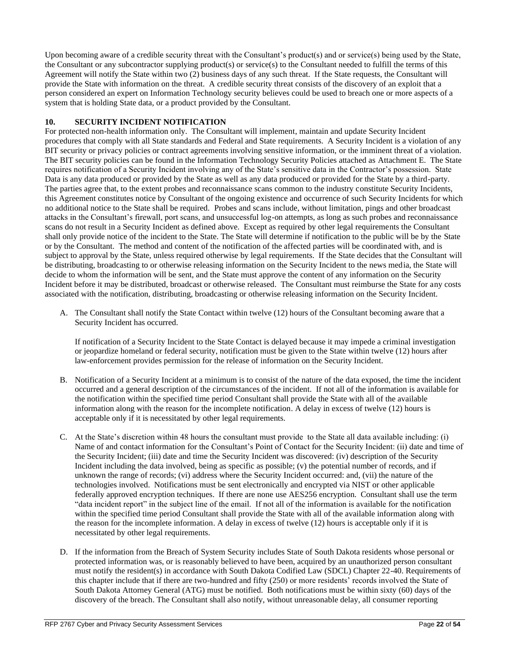Upon becoming aware of a credible security threat with the Consultant's product(s) and or service(s) being used by the State, the Consultant or any subcontractor supplying product(s) or service(s) to the Consultant needed to fulfill the terms of this Agreement will notify the State within two (2) business days of any such threat. If the State requests, the Consultant will provide the State with information on the threat. A credible security threat consists of the discovery of an exploit that a person considered an expert on Information Technology security believes could be used to breach one or more aspects of a system that is holding State data, or a product provided by the Consultant.

## **10. SECURITY INCIDENT NOTIFICATION**

For protected non-health information only. The Consultant will implement, maintain and update Security Incident procedures that comply with all State standards and Federal and State requirements. A Security Incident is a violation of any BIT security or privacy policies or contract agreements involving sensitive information, or the imminent threat of a violation. The BIT security policies can be found in the Information Technology Security Policies attached as Attachment E. The State requires notification of a Security Incident involving any of the State's sensitive data in the Contractor's possession. State Data is any data produced or provided by the State as well as any data produced or provided for the State by a third-party. The parties agree that, to the extent probes and reconnaissance scans common to the industry constitute Security Incidents, this Agreement constitutes notice by Consultant of the ongoing existence and occurrence of such Security Incidents for which no additional notice to the State shall be required. Probes and scans include, without limitation, pings and other broadcast attacks in the Consultant's firewall, port scans, and unsuccessful log-on attempts, as long as such probes and reconnaissance scans do not result in a Security Incident as defined above. Except as required by other legal requirements the Consultant shall only provide notice of the incident to the State. The State will determine if notification to the public will be by the State or by the Consultant. The method and content of the notification of the affected parties will be coordinated with, and is subject to approval by the State, unless required otherwise by legal requirements. If the State decides that the Consultant will be distributing, broadcasting to or otherwise releasing information on the Security Incident to the news media, the State will decide to whom the information will be sent, and the State must approve the content of any information on the Security Incident before it may be distributed, broadcast or otherwise released. The Consultant must reimburse the State for any costs associated with the notification, distributing, broadcasting or otherwise releasing information on the Security Incident.

A. The Consultant shall notify the State Contact within twelve (12) hours of the Consultant becoming aware that a Security Incident has occurred.

If notification of a Security Incident to the State Contact is delayed because it may impede a criminal investigation or jeopardize homeland or federal security, notification must be given to the State within twelve (12) hours after law-enforcement provides permission for the release of information on the Security Incident.

- B. Notification of a Security Incident at a minimum is to consist of the nature of the data exposed, the time the incident occurred and a general description of the circumstances of the incident. If not all of the information is available for the notification within the specified time period Consultant shall provide the State with all of the available information along with the reason for the incomplete notification. A delay in excess of twelve (12) hours is acceptable only if it is necessitated by other legal requirements.
- C. At the State's discretion within 48 hours the consultant must provide to the State all data available including: (i) Name of and contact information for the Consultant's Point of Contact for the Security Incident: (ii) date and time of the Security Incident; (iii) date and time the Security Incident was discovered: (iv) description of the Security Incident including the data involved, being as specific as possible; (v) the potential number of records, and if unknown the range of records; (vi) address where the Security Incident occurred: and, (vii) the nature of the technologies involved. Notifications must be sent electronically and encrypted via NIST or other applicable federally approved encryption techniques. If there are none use AES256 encryption. Consultant shall use the term "data incident report" in the subject line of the email. If not all of the information is available for the notification within the specified time period Consultant shall provide the State with all of the available information along with the reason for the incomplete information. A delay in excess of twelve (12) hours is acceptable only if it is necessitated by other legal requirements.
- D. If the information from the Breach of System Security includes State of South Dakota residents whose personal or protected information was, or is reasonably believed to have been, acquired by an unauthorized person consultant must notify the resident(s) in accordance with South Dakota Codified Law (SDCL) Chapter 22-40. Requirements of this chapter include that if there are two-hundred and fifty (250) or more residents' records involved the State of South Dakota Attorney General (ATG) must be notified. Both notifications must be within sixty (60) days of the discovery of the breach. The Consultant shall also notify, without unreasonable delay, all consumer reporting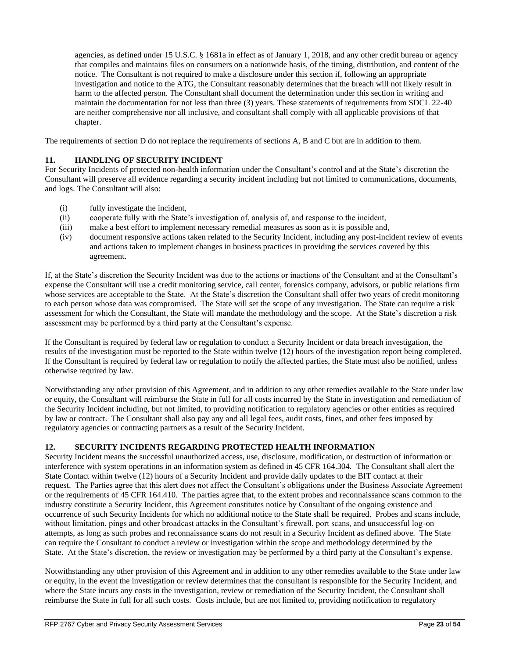agencies, as defined under 15 U.S.C. § 1681a in effect as of January 1, 2018, and any other credit bureau or agency that compiles and maintains files on consumers on a nationwide basis, of the timing, distribution, and content of the notice. The Consultant is not required to make a disclosure under this section if, following an appropriate investigation and notice to the ATG, the Consultant reasonably determines that the breach will not likely result in harm to the affected person. The Consultant shall document the determination under this section in writing and maintain the documentation for not less than three (3) years. These statements of requirements from SDCL 22-40 are neither comprehensive nor all inclusive, and consultant shall comply with all applicable provisions of that chapter.

The requirements of section D do not replace the requirements of sections A, B and C but are in addition to them.

# **11. HANDLING OF SECURITY INCIDENT**

For Security Incidents of protected non-health information under the Consultant's control and at the State's discretion the Consultant will preserve all evidence regarding a security incident including but not limited to communications, documents, and logs. The Consultant will also:

- (i) fully investigate the incident,
- (ii) cooperate fully with the State's investigation of, analysis of, and response to the incident,
- (iii) make a best effort to implement necessary remedial measures as soon as it is possible and,
- (iv) document responsive actions taken related to the Security Incident, including any post-incident review of events and actions taken to implement changes in business practices in providing the services covered by this agreement.

If, at the State's discretion the Security Incident was due to the actions or inactions of the Consultant and at the Consultant's expense the Consultant will use a credit monitoring service, call center, forensics company, advisors, or public relations firm whose services are acceptable to the State. At the State's discretion the Consultant shall offer two years of credit monitoring to each person whose data was compromised. The State will set the scope of any investigation. The State can require a risk assessment for which the Consultant, the State will mandate the methodology and the scope. At the State's discretion a risk assessment may be performed by a third party at the Consultant's expense.

If the Consultant is required by federal law or regulation to conduct a Security Incident or data breach investigation, the results of the investigation must be reported to the State within twelve (12) hours of the investigation report being completed. If the Consultant is required by federal law or regulation to notify the affected parties, the State must also be notified, unless otherwise required by law.

Notwithstanding any other provision of this Agreement, and in addition to any other remedies available to the State under law or equity, the Consultant will reimburse the State in full for all costs incurred by the State in investigation and remediation of the Security Incident including, but not limited, to providing notification to regulatory agencies or other entities as required by law or contract. The Consultant shall also pay any and all legal fees, audit costs, fines, and other fees imposed by regulatory agencies or contracting partners as a result of the Security Incident.

# **12. SECURITY INCIDENTS REGARDING PROTECTED HEALTH INFORMATION**

Security Incident means the successful unauthorized access, use, disclosure, modification, or destruction of information or interference with system operations in an information system as defined in 45 CFR 164.304. The Consultant shall alert the State Contact within twelve (12) hours of a Security Incident and provide daily updates to the BIT contact at their request. The Parties agree that this alert does not affect the Consultant's obligations under the Business Associate Agreement or the requirements of 45 CFR 164.410. The parties agree that, to the extent probes and reconnaissance scans common to the industry constitute a Security Incident, this Agreement constitutes notice by Consultant of the ongoing existence and occurrence of such Security Incidents for which no additional notice to the State shall be required. Probes and scans include, without limitation, pings and other broadcast attacks in the Consultant's firewall, port scans, and unsuccessful log-on attempts, as long as such probes and reconnaissance scans do not result in a Security Incident as defined above. The State can require the Consultant to conduct a review or investigation within the scope and methodology determined by the State. At the State's discretion, the review or investigation may be performed by a third party at the Consultant's expense.

Notwithstanding any other provision of this Agreement and in addition to any other remedies available to the State under law or equity, in the event the investigation or review determines that the consultant is responsible for the Security Incident, and where the State incurs any costs in the investigation, review or remediation of the Security Incident, the Consultant shall reimburse the State in full for all such costs. Costs include, but are not limited to, providing notification to regulatory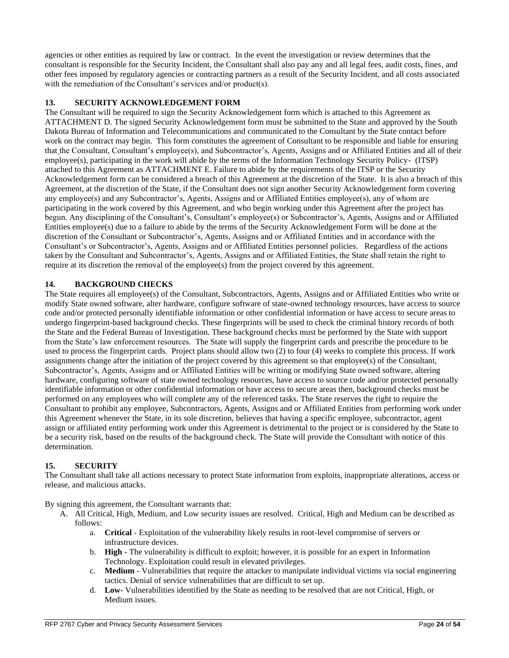agencies or other entities as required by law or contract. In the event the investigation or review determines that the consultant is responsible for the Security Incident, the Consultant shall also pay any and all legal fees, audit costs, fines, and other fees imposed by regulatory agencies or contracting partners as a result of the Security Incident, and all costs associated with the remediation of the Consultant's services and/or product(s).

# **13. SECURITY ACKNOWLEDGEMENT FORM**

The Consultant will be required to sign the Security Acknowledgement form which is attached to this Agreement as ATTACHMENT D. The signed Security Acknowledgement form must be submitted to the State and approved by the South Dakota Bureau of Information and Telecommunications and communicated to the Consultant by the State contact before work on the contract may begin. This form constitutes the agreement of Consultant to be responsible and liable for ensuring that the Consultant, Consultant's employee(s), and Subcontractor's, Agents, Assigns and or Affiliated Entities and all of their employee(s), participating in the work will abide by the terms of the Information Technology Security Policy- (ITSP) attached to this Agreement as ATTACHMENT E. Failure to abide by the requirements of the ITSP or the Security Acknowledgement form can be considered a breach of this Agreement at the discretion of the State. It is also a breach of this Agreement, at the discretion of the State, if the Consultant does not sign another Security Acknowledgement form covering any employee(s) and any Subcontractor's, Agents, Assigns and or Affiliated Entities employee(s), any of whom are participating in the work covered by this Agreement, and who begin working under this Agreement after the project has begun. Any disciplining of the Consultant's, Consultant's employee(s) or Subcontractor's, Agents, Assigns and or Affiliated Entities employee(s) due to a failure to abide by the terms of the Security Acknowledgement Form will be done at the discretion of the Consultant or Subcontractor's, Agents, Assigns and or Affiliated Entities and in accordance with the Consultant's or Subcontractor's, Agents, Assigns and or Affiliated Entities personnel policies. Regardless of the actions taken by the Consultant and Subcontractor's, Agents, Assigns and or Affiliated Entities, the State shall retain the right to require at its discretion the removal of the employee(s) from the project covered by this agreement.

## **14. BACKGROUND CHECKS**

The State requires all employee(s) of the Consultant, Subcontractors, Agents, Assigns and or Affiliated Entities who write or modify State owned software, alter hardware, configure software of state-owned technology resources, have access to source code and/or protected personally identifiable information or other confidential information or have access to secure areas to undergo fingerprint-based background checks. These fingerprints will be used to check the criminal history records of both the State and the Federal Bureau of Investigation. These background checks must be performed by the State with support from the State's law enforcement resources. The State will supply the fingerprint cards and prescribe the procedure to be used to process the fingerprint cards. Project plans should allow two (2) to four (4) weeks to complete this process. If work assignments change after the initiation of the project covered by this agreement so that employee(s) of the Consultant, Subcontractor's, Agents, Assigns and or Affiliated Entities will be writing or modifying State owned software, altering hardware, configuring software of state owned technology resources, have access to source code and/or protected personally identifiable information or other confidential information or have access to secure areas then, background checks must be performed on any employees who will complete any of the referenced tasks. The State reserves the right to require the Consultant to prohibit any employee, Subcontractors, Agents, Assigns and or Affiliated Entities from performing work under this Agreement whenever the State, in its sole discretion, believes that having a specific employee, subcontractor, agent assign or affiliated entity performing work under this Agreement is detrimental to the project or is considered by the State to be a security risk, based on the results of the background check. The State will provide the Consultant with notice of this determination.

# **15. SECURITY**

The Consultant shall take all actions necessary to protect State information from exploits, inappropriate alterations, access or release, and malicious attacks.

By signing this agreement, the Consultant warrants that:

- A. All Critical, High, Medium, and Low security issues are resolved. Critical, High and Medium can be described as follows:
	- a. **Critical** Exploitation of the vulnerability likely results in root-level compromise of servers or infrastructure devices.
	- b. **High** The vulnerability is difficult to exploit; however, it is possible for an expert in Information Technology. Exploitation could result in elevated privileges.
	- c. **Medium** Vulnerabilities that require the attacker to manipulate individual victims via social engineering tactics. Denial of service vulnerabilities that are difficult to set up.
	- d. **Low-** Vulnerabilities identified by the State as needing to be resolved that are not Critical, High, or Medium issues.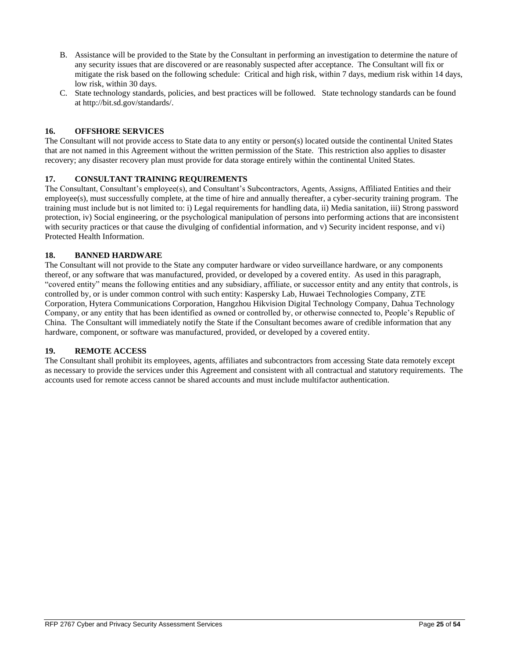- B. Assistance will be provided to the State by the Consultant in performing an investigation to determine the nature of any security issues that are discovered or are reasonably suspected after acceptance. The Consultant will fix or mitigate the risk based on the following schedule: Critical and high risk, within 7 days, medium risk within 14 days, low risk, within 30 days.
- C. State technology standards, policies, and best practices will be followed. State technology standards can be found a[t http://bit.sd.gov/standards/.](http://bit.sd.gov/standards/)

## **16. OFFSHORE SERVICES**

The Consultant will not provide access to State data to any entity or person(s) located outside the continental United States that are not named in this Agreement without the written permission of the State. This restriction also applies to disaster recovery; any disaster recovery plan must provide for data storage entirely within the continental United States.

## **17. CONSULTANT TRAINING REQUIREMENTS**

The Consultant, Consultant's employee(s), and Consultant's Subcontractors, Agents, Assigns, Affiliated Entities and their employee(s), must successfully complete, at the time of hire and annually thereafter, a cyber-security training program. The training must include but is not limited to: i) Legal requirements for handling data, ii) Media sanitation, iii) Strong password protection, iv) Social engineering, or the psychological manipulation of persons into performing actions that are inconsistent with security practices or that cause the divulging of confidential information, and v) Security incident response, and vi) Protected Health Information.

## **18. BANNED HARDWARE**

The Consultant will not provide to the State any computer hardware or video surveillance hardware, or any components thereof, or any software that was manufactured, provided, or developed by a covered entity. As used in this paragraph, "covered entity" means the following entities and any subsidiary, affiliate, or successor entity and any entity that controls, is controlled by, or is under common control with such entity: Kaspersky Lab, Huwaei Technologies Company, ZTE Corporation, Hytera Communications Corporation, Hangzhou Hikvision Digital Technology Company, Dahua Technology Company, or any entity that has been identified as owned or controlled by, or otherwise connected to, People's Republic of China. The Consultant will immediately notify the State if the Consultant becomes aware of credible information that any hardware, component, or software was manufactured, provided, or developed by a covered entity.

#### **19. REMOTE ACCESS**

The Consultant shall prohibit its employees, agents, affiliates and subcontractors from accessing State data remotely except as necessary to provide the services under this Agreement and consistent with all contractual and statutory requirements. The accounts used for remote access cannot be shared accounts and must include multifactor authentication.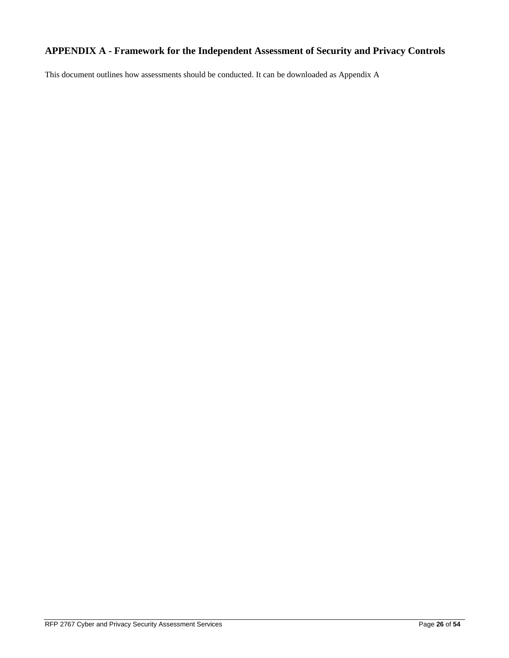# **APPENDIX A - Framework for the Independent Assessment of Security and Privacy Controls**

This document outlines how assessments should be conducted. It can be downloaded as Appendix A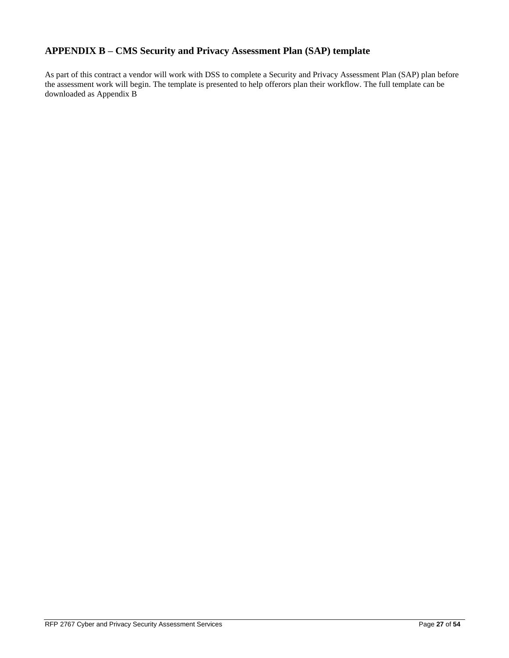# **APPENDIX B – CMS Security and Privacy Assessment Plan (SAP) template**

As part of this contract a vendor will work with DSS to complete a Security and Privacy Assessment Plan (SAP) plan before the assessment work will begin. The template is presented to help offerors plan their workflow. The full template can be downloaded as Appendix B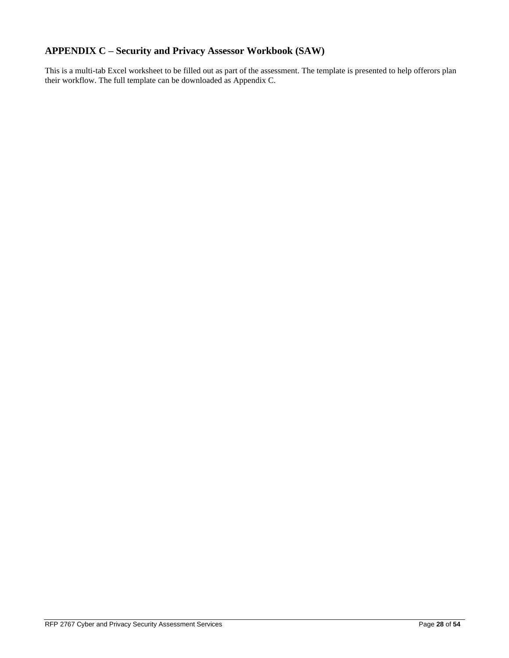# **APPENDIX C – Security and Privacy Assessor Workbook (SAW)**

This is a multi-tab Excel worksheet to be filled out as part of the assessment. The template is presented to help offerors plan their workflow. The full template can be downloaded as Appendix C.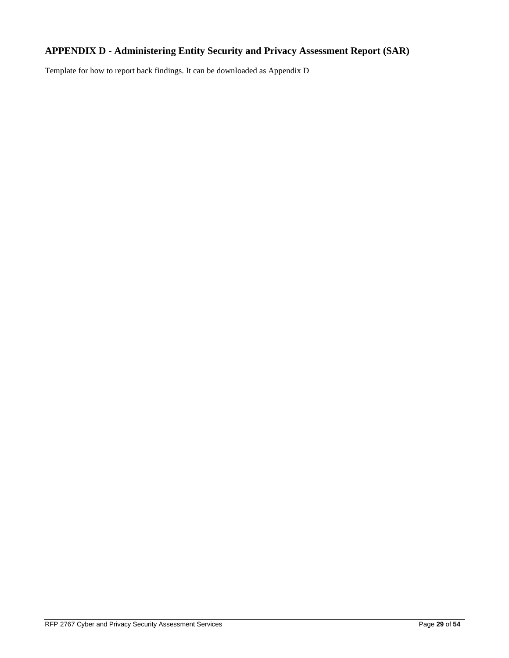# **APPENDIX D - Administering Entity Security and Privacy Assessment Report (SAR)**

Template for how to report back findings. It can be downloaded as Appendix D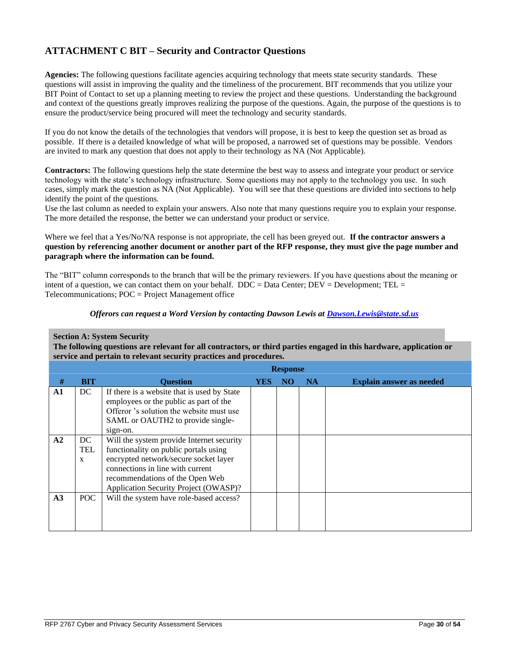# **ATTACHMENT C BIT – Security and Contractor Questions**

**Agencies:** The following questions facilitate agencies acquiring technology that meets state security standards. These questions will assist in improving the quality and the timeliness of the procurement. BIT recommends that you utilize your BIT Point of Contact to set up a planning meeting to review the project and these questions. Understanding the background and context of the questions greatly improves realizing the purpose of the questions. Again, the purpose of the questions is to ensure the product/service being procured will meet the technology and security standards.

If you do not know the details of the technologies that vendors will propose, it is best to keep the question set as broad as possible. If there is a detailed knowledge of what will be proposed, a narrowed set of questions may be possible. Vendors are invited to mark any question that does not apply to their technology as NA (Not Applicable).

**Contractors:** The following questions help the state determine the best way to assess and integrate your product or service technology with the state's technology infrastructure. Some questions may not apply to the technology you use. In such cases, simply mark the question as NA (Not Applicable). You will see that these questions are divided into sections to help identify the point of the questions.

Use the last column as needed to explain your answers. Also note that many questions require you to explain your response. The more detailed the response, the better we can understand your product or service.

Where we feel that a Yes/No/NA response is not appropriate, the cell has been greyed out. **If the contractor answers a question by referencing another document or another part of the RFP response, they must give the page number and paragraph where the information can be found.**

The "BIT" column corresponds to the branch that will be the primary reviewers. If you have questions about the meaning or intent of a question, we can contact them on your behalf. DDC = Data Center; DEV = Development; TEL = Telecommunications; POC = Project Management office

### *Offerors can request a Word Version by contacting Dawson Lewis at [Dawson.Lewis@state.sd.us](mailto:Dawson.Lewis@state.sd.us)*

## **Section A: System Security**

**The following questions are relevant for all contractors, or third parties engaged in this hardware, application or service and pertain to relevant security practices and procedures.**

|                |                |                                                                                                                                                                                                                                             |     | <b>Response</b> |           |                                 |
|----------------|----------------|---------------------------------------------------------------------------------------------------------------------------------------------------------------------------------------------------------------------------------------------|-----|-----------------|-----------|---------------------------------|
| #              | <b>BIT</b>     | <b>Ouestion</b>                                                                                                                                                                                                                             | YES | NO.             | <b>NA</b> | <b>Explain answer as needed</b> |
| $\mathbf{A1}$  | DC             | If there is a website that is used by State<br>employees or the public as part of the<br>Offeror 's solution the website must use<br>SAML or OAUTH2 to provide single-<br>sign-on.                                                          |     |                 |           |                                 |
| A2             | DC<br>TEL<br>X | Will the system provide Internet security<br>functionality on public portals using<br>encrypted network/secure socket layer<br>connections in line with current<br>recommendations of the Open Web<br>Application Security Project (OWASP)? |     |                 |           |                                 |
| A <sub>3</sub> | POC            | Will the system have role-based access?                                                                                                                                                                                                     |     |                 |           |                                 |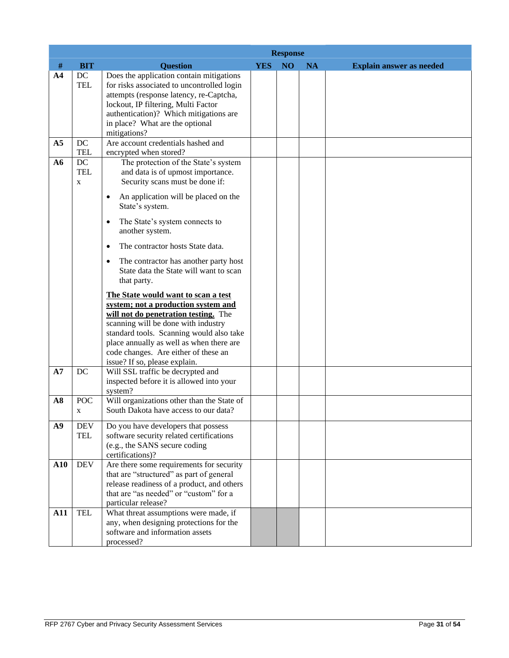|                |                                 | <b>Response</b>                                                                                                                                                                                                                                                                                                                                                                                                                                                                                                                                                                                                                                                             |            |                 |           |                                 |  |
|----------------|---------------------------------|-----------------------------------------------------------------------------------------------------------------------------------------------------------------------------------------------------------------------------------------------------------------------------------------------------------------------------------------------------------------------------------------------------------------------------------------------------------------------------------------------------------------------------------------------------------------------------------------------------------------------------------------------------------------------------|------------|-----------------|-----------|---------------------------------|--|
| $\#$           | <b>BIT</b>                      | <b>Question</b>                                                                                                                                                                                                                                                                                                                                                                                                                                                                                                                                                                                                                                                             | <b>YES</b> | NO <sub>1</sub> | <b>NA</b> | <b>Explain answer as needed</b> |  |
| A <sub>4</sub> | DC<br><b>TEL</b>                | Does the application contain mitigations<br>for risks associated to uncontrolled login<br>attempts (response latency, re-Captcha,<br>lockout, IP filtering, Multi Factor<br>authentication)? Which mitigations are<br>in place? What are the optional<br>mitigations?                                                                                                                                                                                                                                                                                                                                                                                                       |            |                 |           |                                 |  |
| A <sub>5</sub> | DC<br><b>TEL</b>                | Are account credentials hashed and<br>encrypted when stored?                                                                                                                                                                                                                                                                                                                                                                                                                                                                                                                                                                                                                |            |                 |           |                                 |  |
| A6             | DC<br><b>TEL</b><br>$\mathbf X$ | The protection of the State's system<br>and data is of upmost importance.<br>Security scans must be done if:<br>An application will be placed on the<br>$\bullet$<br>State's system.<br>The State's system connects to<br>$\bullet$<br>another system.<br>The contractor hosts State data.<br>$\bullet$<br>The contractor has another party host<br>$\bullet$<br>State data the State will want to scan<br>that party.<br>The State would want to scan a test<br>system; not a production system and<br>will not do penetration testing. The<br>scanning will be done with industry<br>standard tools. Scanning would also take<br>place annually as well as when there are |            |                 |           |                                 |  |
| A7             | DC                              | code changes. Are either of these an<br>issue? If so, please explain.<br>Will SSL traffic be decrypted and                                                                                                                                                                                                                                                                                                                                                                                                                                                                                                                                                                  |            |                 |           |                                 |  |
|                |                                 | inspected before it is allowed into your<br>system?                                                                                                                                                                                                                                                                                                                                                                                                                                                                                                                                                                                                                         |            |                 |           |                                 |  |
| A8             | <b>POC</b><br>X                 | Will organizations other than the State of<br>South Dakota have access to our data?                                                                                                                                                                                                                                                                                                                                                                                                                                                                                                                                                                                         |            |                 |           |                                 |  |
| A9             | <b>DEV</b><br><b>TEL</b>        | Do you have developers that possess<br>software security related certifications<br>(e.g., the SANS secure coding<br>certifications)?                                                                                                                                                                                                                                                                                                                                                                                                                                                                                                                                        |            |                 |           |                                 |  |
| ${\bf A10}$    | <b>DEV</b>                      | Are there some requirements for security<br>that are "structured" as part of general<br>release readiness of a product, and others<br>that are "as needed" or "custom" for a<br>particular release?                                                                                                                                                                                                                                                                                                                                                                                                                                                                         |            |                 |           |                                 |  |
| A11            | <b>TEL</b>                      | What threat assumptions were made, if<br>any, when designing protections for the<br>software and information assets<br>processed?                                                                                                                                                                                                                                                                                                                                                                                                                                                                                                                                           |            |                 |           |                                 |  |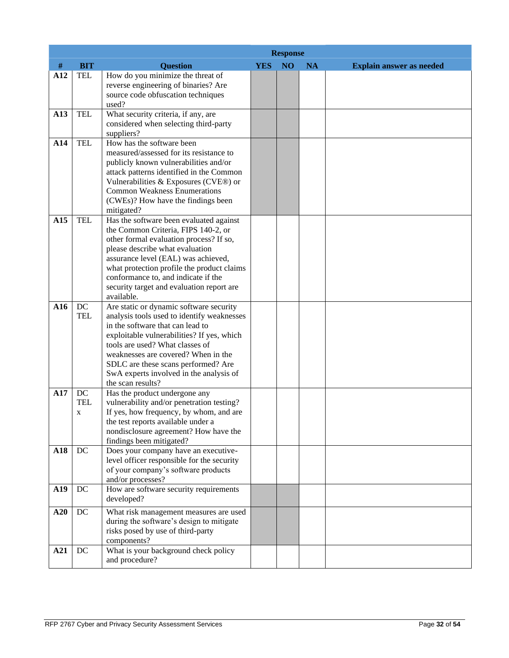|     |            | <b>Response</b>                                                                      |            |                 |    |                                 |  |
|-----|------------|--------------------------------------------------------------------------------------|------------|-----------------|----|---------------------------------|--|
| #   | <b>BIT</b> | <b>Question</b>                                                                      | <b>YES</b> | NO <sub>1</sub> | NA | <b>Explain answer as needed</b> |  |
| A12 | <b>TEL</b> | How do you minimize the threat of<br>reverse engineering of binaries? Are            |            |                 |    |                                 |  |
|     |            | source code obfuscation techniques<br>used?                                          |            |                 |    |                                 |  |
| A13 | <b>TEL</b> | What security criteria, if any, are<br>considered when selecting third-party         |            |                 |    |                                 |  |
|     |            | suppliers?                                                                           |            |                 |    |                                 |  |
| A14 | <b>TEL</b> | How has the software been<br>measured/assessed for its resistance to                 |            |                 |    |                                 |  |
|     |            | publicly known vulnerabilities and/or                                                |            |                 |    |                                 |  |
|     |            | attack patterns identified in the Common                                             |            |                 |    |                                 |  |
|     |            | Vulnerabilities & Exposures (CVE®) or<br><b>Common Weakness Enumerations</b>         |            |                 |    |                                 |  |
|     |            | (CWEs)? How have the findings been                                                   |            |                 |    |                                 |  |
|     |            | mitigated?                                                                           |            |                 |    |                                 |  |
| A15 | <b>TEL</b> | Has the software been evaluated against                                              |            |                 |    |                                 |  |
|     |            | the Common Criteria, FIPS 140-2, or                                                  |            |                 |    |                                 |  |
|     |            | other formal evaluation process? If so,                                              |            |                 |    |                                 |  |
|     |            | please describe what evaluation                                                      |            |                 |    |                                 |  |
|     |            | assurance level (EAL) was achieved,<br>what protection profile the product claims    |            |                 |    |                                 |  |
|     |            | conformance to, and indicate if the                                                  |            |                 |    |                                 |  |
|     |            | security target and evaluation report are                                            |            |                 |    |                                 |  |
|     |            | available.                                                                           |            |                 |    |                                 |  |
| A16 | DC         | Are static or dynamic software security                                              |            |                 |    |                                 |  |
|     | <b>TEL</b> | analysis tools used to identify weaknesses                                           |            |                 |    |                                 |  |
|     |            | in the software that can lead to                                                     |            |                 |    |                                 |  |
|     |            | exploitable vulnerabilities? If yes, which<br>tools are used? What classes of        |            |                 |    |                                 |  |
|     |            | weaknesses are covered? When in the                                                  |            |                 |    |                                 |  |
|     |            | SDLC are these scans performed? Are                                                  |            |                 |    |                                 |  |
|     |            | SwA experts involved in the analysis of                                              |            |                 |    |                                 |  |
|     |            | the scan results?                                                                    |            |                 |    |                                 |  |
| A17 | DC         | Has the product undergone any                                                        |            |                 |    |                                 |  |
|     | <b>TEL</b> | vulnerability and/or penetration testing?<br>If yes, how frequency, by whom, and are |            |                 |    |                                 |  |
|     | X          | the test reports available under a                                                   |            |                 |    |                                 |  |
|     |            | nondisclosure agreement? How have the                                                |            |                 |    |                                 |  |
|     |            | findings been mitigated?                                                             |            |                 |    |                                 |  |
| A18 | DC         | Does your company have an executive-                                                 |            |                 |    |                                 |  |
|     |            | level officer responsible for the security                                           |            |                 |    |                                 |  |
|     |            | of your company's software products<br>and/or processes?                             |            |                 |    |                                 |  |
| A19 | DC         | How are software security requirements                                               |            |                 |    |                                 |  |
|     |            | developed?                                                                           |            |                 |    |                                 |  |
| A20 | DC         | What risk management measures are used                                               |            |                 |    |                                 |  |
|     |            | during the software's design to mitigate                                             |            |                 |    |                                 |  |
|     |            | risks posed by use of third-party<br>components?                                     |            |                 |    |                                 |  |
| A21 | DC         | What is your background check policy                                                 |            |                 |    |                                 |  |
|     |            | and procedure?                                                                       |            |                 |    |                                 |  |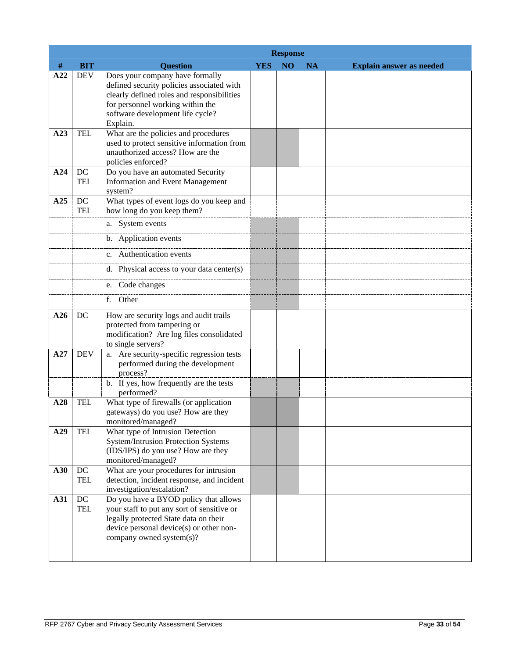|     |                        | <b>Response</b>                                                                                                                                                                                                |            |                 |           |                                 |  |
|-----|------------------------|----------------------------------------------------------------------------------------------------------------------------------------------------------------------------------------------------------------|------------|-----------------|-----------|---------------------------------|--|
| #   | <b>BIT</b>             | <b>Question</b>                                                                                                                                                                                                | <b>YES</b> | NO <sub>1</sub> | <b>NA</b> | <b>Explain answer as needed</b> |  |
| A22 | <b>DEV</b>             | Does your company have formally<br>defined security policies associated with<br>clearly defined roles and responsibilities<br>for personnel working within the<br>software development life cycle?<br>Explain. |            |                 |           |                                 |  |
| A23 | <b>TEL</b>             | What are the policies and procedures<br>used to protect sensitive information from<br>unauthorized access? How are the<br>policies enforced?                                                                   |            |                 |           |                                 |  |
| A24 | DC<br><b>TEL</b>       | Do you have an automated Security<br><b>Information and Event Management</b><br>system?                                                                                                                        |            |                 |           |                                 |  |
| A25 | DC<br><b>TEL</b>       | What types of event logs do you keep and<br>how long do you keep them?                                                                                                                                         |            |                 |           |                                 |  |
|     |                        | a. System events<br>b. Application events                                                                                                                                                                      |            |                 |           |                                 |  |
|     |                        | c. Authentication events                                                                                                                                                                                       |            |                 |           |                                 |  |
|     |                        | d. Physical access to your data center(s)                                                                                                                                                                      |            |                 |           |                                 |  |
|     |                        | e. Code changes                                                                                                                                                                                                |            |                 |           |                                 |  |
|     |                        | f. Other                                                                                                                                                                                                       |            |                 |           |                                 |  |
| A26 | DC                     | How are security logs and audit trails<br>protected from tampering or<br>modification? Are log files consolidated<br>to single servers?                                                                        |            |                 |           |                                 |  |
| A27 | <b>DEV</b>             | a. Are security-specific regression tests<br>performed during the development<br>process?                                                                                                                      |            |                 |           |                                 |  |
|     |                        | b. If yes, how frequently are the tests<br>performed?                                                                                                                                                          |            |                 |           |                                 |  |
| A28 | <b>TEL</b>             | What type of firewalls (or application<br>gateways) do you use? How are they<br>monitored/managed?                                                                                                             |            |                 |           |                                 |  |
| A29 | <b>TEL</b>             | What type of Intrusion Detection<br><b>System/Intrusion Protection Systems</b><br>(IDS/IPS) do you use? How are they<br>monitored/managed?                                                                     |            |                 |           |                                 |  |
| A30 | $DC$<br><b>TEL</b>     | What are your procedures for intrusion<br>detection, incident response, and incident<br>investigation/escalation?                                                                                              |            |                 |           |                                 |  |
| A31 | $\rm DC$<br><b>TEL</b> | Do you have a BYOD policy that allows<br>your staff to put any sort of sensitive or<br>legally protected State data on their<br>device personal device(s) or other non-<br>company owned system(s)?            |            |                 |           |                                 |  |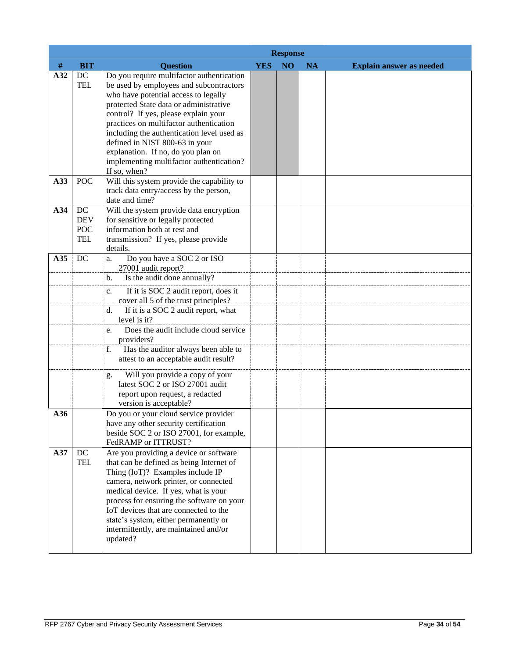|     |                                              | <b>Response</b>                                                                                                                                                                                                                                                                                                                                                                                                                             |            |                |           |                                 |  |
|-----|----------------------------------------------|---------------------------------------------------------------------------------------------------------------------------------------------------------------------------------------------------------------------------------------------------------------------------------------------------------------------------------------------------------------------------------------------------------------------------------------------|------------|----------------|-----------|---------------------------------|--|
| #   | <b>BIT</b>                                   | <b>Question</b>                                                                                                                                                                                                                                                                                                                                                                                                                             | <b>YES</b> | N <sub>O</sub> | <b>NA</b> | <b>Explain answer as needed</b> |  |
| A32 | DC<br><b>TEL</b>                             | Do you require multifactor authentication<br>be used by employees and subcontractors<br>who have potential access to legally<br>protected State data or administrative<br>control? If yes, please explain your<br>practices on multifactor authentication<br>including the authentication level used as<br>defined in NIST 800-63 in your<br>explanation. If no, do you plan on<br>implementing multifactor authentication?<br>If so, when? |            |                |           |                                 |  |
| A33 | <b>POC</b>                                   | Will this system provide the capability to<br>track data entry/access by the person,<br>date and time?                                                                                                                                                                                                                                                                                                                                      |            |                |           |                                 |  |
| A34 | DC<br><b>DEV</b><br><b>POC</b><br><b>TEL</b> | Will the system provide data encryption<br>for sensitive or legally protected<br>information both at rest and<br>transmission? If yes, please provide<br>details.                                                                                                                                                                                                                                                                           |            |                |           |                                 |  |
| A35 | DC                                           | Do you have a SOC 2 or ISO<br>a.<br>27001 audit report?<br>Is the audit done annually?<br>b.                                                                                                                                                                                                                                                                                                                                                |            |                |           |                                 |  |
|     |                                              | If it is SOC 2 audit report, does it<br>c.<br>cover all 5 of the trust principles?                                                                                                                                                                                                                                                                                                                                                          |            |                |           |                                 |  |
|     |                                              | If it is a SOC 2 audit report, what<br>d.<br>level is it?                                                                                                                                                                                                                                                                                                                                                                                   |            |                |           |                                 |  |
|     |                                              | Does the audit include cloud service<br>e.<br>providers?                                                                                                                                                                                                                                                                                                                                                                                    |            |                |           |                                 |  |
|     |                                              | Has the auditor always been able to<br>f.<br>attest to an acceptable audit result?                                                                                                                                                                                                                                                                                                                                                          |            |                |           |                                 |  |
|     |                                              | Will you provide a copy of your<br>g.<br>latest SOC 2 or ISO 27001 audit<br>report upon request, a redacted<br>version is acceptable?                                                                                                                                                                                                                                                                                                       |            |                |           |                                 |  |
| A36 |                                              | Do you or your cloud service provider<br>have any other security certification<br>beside SOC 2 or ISO 27001, for example,<br>FedRAMP or ITTRUST?                                                                                                                                                                                                                                                                                            |            |                |           |                                 |  |
| A37 | DC<br><b>TEL</b>                             | Are you providing a device or software<br>that can be defined as being Internet of<br>Thing (IoT)? Examples include IP<br>camera, network printer, or connected<br>medical device. If yes, what is your<br>process for ensuring the software on your<br>IoT devices that are connected to the<br>state's system, either permanently or<br>intermittently, are maintained and/or<br>updated?                                                 |            |                |           |                                 |  |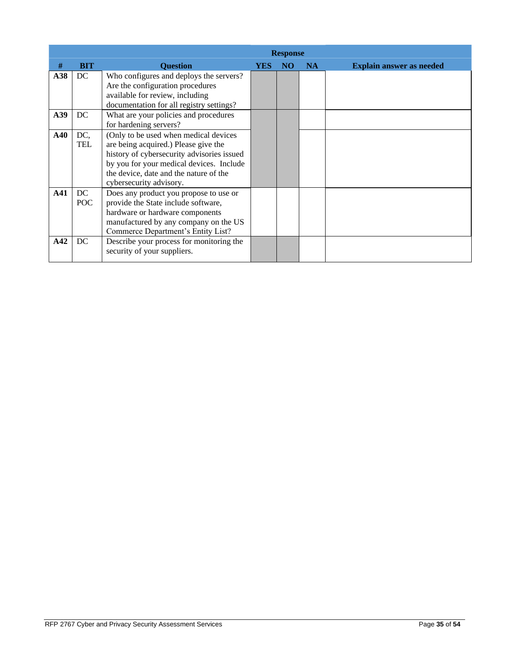|             | <b>Response</b> |                                                                                                                                                                                                                                              |     |                 |           |                                 |  |
|-------------|-----------------|----------------------------------------------------------------------------------------------------------------------------------------------------------------------------------------------------------------------------------------------|-----|-----------------|-----------|---------------------------------|--|
| #           | <b>BIT</b>      | <b>Ouestion</b>                                                                                                                                                                                                                              | YES | NO <sub>1</sub> | <b>NA</b> | <b>Explain answer as needed</b> |  |
| A38         | DC              | Who configures and deploys the servers?<br>Are the configuration procedures<br>available for review, including<br>documentation for all registry settings?                                                                                   |     |                 |           |                                 |  |
| A39         | DC              | What are your policies and procedures<br>for hardening servers?                                                                                                                                                                              |     |                 |           |                                 |  |
| ${\bf A40}$ | DC,<br>TEL      | (Only to be used when medical devices<br>are being acquired.) Please give the<br>history of cybersecurity advisories issued<br>by you for your medical devices. Include<br>the device, date and the nature of the<br>cybersecurity advisory. |     |                 |           |                                 |  |
| A41         | DC<br>POC       | Does any product you propose to use or<br>provide the State include software,<br>hardware or hardware components<br>manufactured by any company on the US<br>Commerce Department's Entity List?                                              |     |                 |           |                                 |  |
| A42         | DC              | Describe your process for monitoring the<br>security of your suppliers.                                                                                                                                                                      |     |                 |           |                                 |  |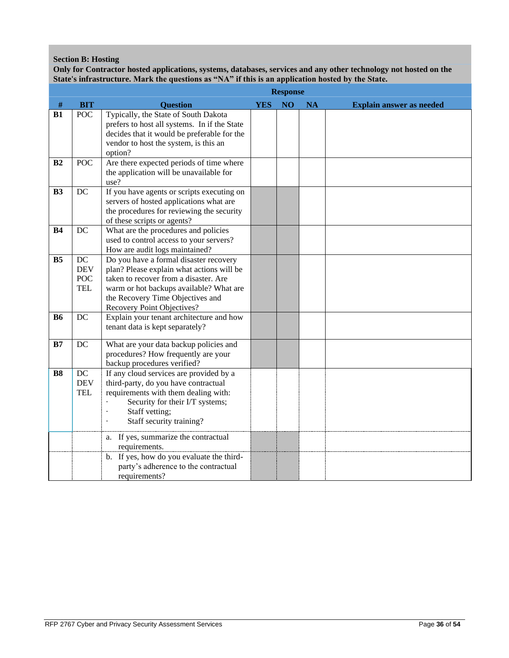## **Section B: Hosting**

**Only for Contractor hosted applications, systems, databases, services and any other technology not hosted on the State's infrastructure. Mark the questions as "NA" if this is an application hosted by the State.**

|                |                                       | <b>Response</b>                                                                                                                                                                                                                           |            |                |           |                                 |  |
|----------------|---------------------------------------|-------------------------------------------------------------------------------------------------------------------------------------------------------------------------------------------------------------------------------------------|------------|----------------|-----------|---------------------------------|--|
| $\#$           | <b>BIT</b>                            | <b>Question</b>                                                                                                                                                                                                                           | <b>YES</b> | N <sub>O</sub> | <b>NA</b> | <b>Explain answer as needed</b> |  |
| B1             | <b>POC</b>                            | Typically, the State of South Dakota<br>prefers to host all systems. In if the State<br>decides that it would be preferable for the<br>vendor to host the system, is this an<br>option?                                                   |            |                |           |                                 |  |
| B <sub>2</sub> | <b>POC</b>                            | Are there expected periods of time where<br>the application will be unavailable for<br>use?                                                                                                                                               |            |                |           |                                 |  |
| B <sub>3</sub> | <b>DC</b>                             | If you have agents or scripts executing on<br>servers of hosted applications what are<br>the procedures for reviewing the security<br>of these scripts or agents?                                                                         |            |                |           |                                 |  |
| <b>B4</b>      | DC                                    | What are the procedures and policies<br>used to control access to your servers?<br>How are audit logs maintained?                                                                                                                         |            |                |           |                                 |  |
| B <sub>5</sub> | DC<br><b>DEV</b><br>POC<br><b>TEL</b> | Do you have a formal disaster recovery<br>plan? Please explain what actions will be<br>taken to recover from a disaster. Are<br>warm or hot backups available? What are<br>the Recovery Time Objectives and<br>Recovery Point Objectives? |            |                |           |                                 |  |
| <b>B6</b>      | DC                                    | Explain your tenant architecture and how<br>tenant data is kept separately?                                                                                                                                                               |            |                |           |                                 |  |
| B7             | DC                                    | What are your data backup policies and<br>procedures? How frequently are your<br>backup procedures verified?                                                                                                                              |            |                |           |                                 |  |
| <b>B8</b>      | DC<br><b>DEV</b><br><b>TEL</b>        | If any cloud services are provided by a<br>third-party, do you have contractual<br>requirements with them dealing with:<br>Security for their I/T systems;<br>Staff vetting;<br>Staff security training?                                  |            |                |           |                                 |  |
|                |                                       | a. If yes, summarize the contractual<br>requirements.<br>b. If yes, how do you evaluate the third-<br>party's adherence to the contractual<br>requirements?                                                                               |            |                |           |                                 |  |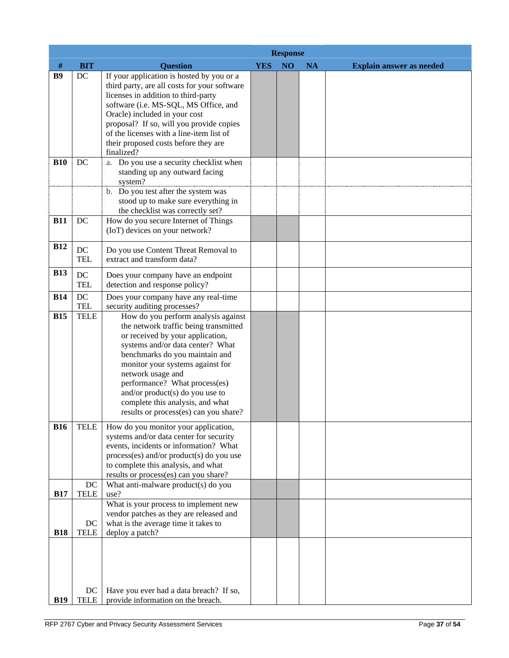|            |                   | <b>Response</b>                                                                                                                                                                                                                                                                                                                                                                                  |            |    |           |                                 |  |  |
|------------|-------------------|--------------------------------------------------------------------------------------------------------------------------------------------------------------------------------------------------------------------------------------------------------------------------------------------------------------------------------------------------------------------------------------------------|------------|----|-----------|---------------------------------|--|--|
| $\#$       | <b>BIT</b>        | <b>Question</b>                                                                                                                                                                                                                                                                                                                                                                                  | <b>YES</b> | NO | <b>NA</b> | <b>Explain answer as needed</b> |  |  |
| <b>B9</b>  | DC                | If your application is hosted by you or a<br>third party, are all costs for your software<br>licenses in addition to third-party<br>software (i.e. MS-SQL, MS Office, and<br>Oracle) included in your cost<br>proposal? If so, will you provide copies<br>of the licenses with a line-item list of<br>their proposed costs before they are<br>finalized?                                         |            |    |           |                                 |  |  |
| <b>B10</b> | DC                | a. Do you use a security checklist when                                                                                                                                                                                                                                                                                                                                                          |            |    |           |                                 |  |  |
|            |                   | standing up any outward facing<br>system?                                                                                                                                                                                                                                                                                                                                                        |            |    |           |                                 |  |  |
|            |                   | b. Do you test after the system was                                                                                                                                                                                                                                                                                                                                                              |            |    |           |                                 |  |  |
|            |                   | stood up to make sure everything in<br>the checklist was correctly set?                                                                                                                                                                                                                                                                                                                          |            |    |           |                                 |  |  |
| <b>B11</b> | DC                | How do you secure Internet of Things                                                                                                                                                                                                                                                                                                                                                             |            |    |           |                                 |  |  |
|            |                   | (IoT) devices on your network?                                                                                                                                                                                                                                                                                                                                                                   |            |    |           |                                 |  |  |
| <b>B12</b> | DC                | Do you use Content Threat Removal to                                                                                                                                                                                                                                                                                                                                                             |            |    |           |                                 |  |  |
|            | <b>TEL</b>        | extract and transform data?                                                                                                                                                                                                                                                                                                                                                                      |            |    |           |                                 |  |  |
| <b>B13</b> | DC                | Does your company have an endpoint                                                                                                                                                                                                                                                                                                                                                               |            |    |           |                                 |  |  |
|            | <b>TEL</b>        | detection and response policy?                                                                                                                                                                                                                                                                                                                                                                   |            |    |           |                                 |  |  |
| <b>B14</b> | DC<br><b>TEL</b>  | Does your company have any real-time<br>security auditing processes?                                                                                                                                                                                                                                                                                                                             |            |    |           |                                 |  |  |
| <b>B15</b> | <b>TELE</b>       | How do you perform analysis against<br>the network traffic being transmitted<br>or received by your application,<br>systems and/or data center? What<br>benchmarks do you maintain and<br>monitor your systems against for<br>network usage and<br>performance? What process(es)<br>and/or product(s) do you use to<br>complete this analysis, and what<br>results or process(es) can you share? |            |    |           |                                 |  |  |
| <b>B16</b> | <b>TELE</b>       | How do you monitor your application,<br>systems and/or data center for security<br>events, incidents or information? What<br>process(es) and/or product(s) do you use<br>to complete this analysis, and what<br>results or process(es) can you share?                                                                                                                                            |            |    |           |                                 |  |  |
| <b>B17</b> | DC<br>TELE        | What anti-malware product(s) do you<br>use?                                                                                                                                                                                                                                                                                                                                                      |            |    |           |                                 |  |  |
| <b>B18</b> | DC<br><b>TELE</b> | What is your process to implement new<br>vendor patches as they are released and<br>what is the average time it takes to<br>deploy a patch?                                                                                                                                                                                                                                                      |            |    |           |                                 |  |  |
| <b>B19</b> | DC<br><b>TELE</b> | Have you ever had a data breach? If so,<br>provide information on the breach.                                                                                                                                                                                                                                                                                                                    |            |    |           |                                 |  |  |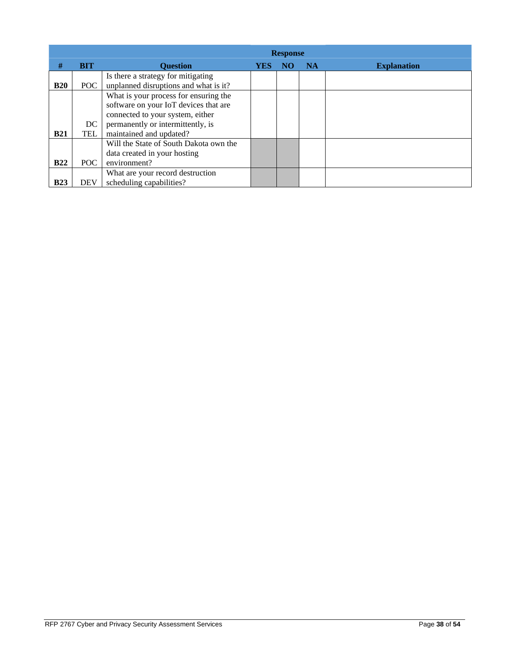|            |            | <b>Response</b>                        |     |    |           |                    |  |  |
|------------|------------|----------------------------------------|-----|----|-----------|--------------------|--|--|
| #          | <b>BIT</b> | <b>Question</b>                        | YES | NO | <b>NA</b> | <b>Explanation</b> |  |  |
|            |            | Is there a strategy for mitigating     |     |    |           |                    |  |  |
| <b>B20</b> | POC -      | unplanned disruptions and what is it?  |     |    |           |                    |  |  |
|            |            | What is your process for ensuring the  |     |    |           |                    |  |  |
|            |            | software on your IoT devices that are  |     |    |           |                    |  |  |
|            |            | connected to your system, either       |     |    |           |                    |  |  |
|            | DC         | permanently or intermittently, is      |     |    |           |                    |  |  |
| <b>B21</b> | TEL        | maintained and updated?                |     |    |           |                    |  |  |
|            |            | Will the State of South Dakota own the |     |    |           |                    |  |  |
|            |            | data created in your hosting           |     |    |           |                    |  |  |
| <b>B22</b> | POC -      | environment?                           |     |    |           |                    |  |  |
|            |            | What are your record destruction       |     |    |           |                    |  |  |
| <b>B23</b> | <b>DEV</b> | scheduling capabilities?               |     |    |           |                    |  |  |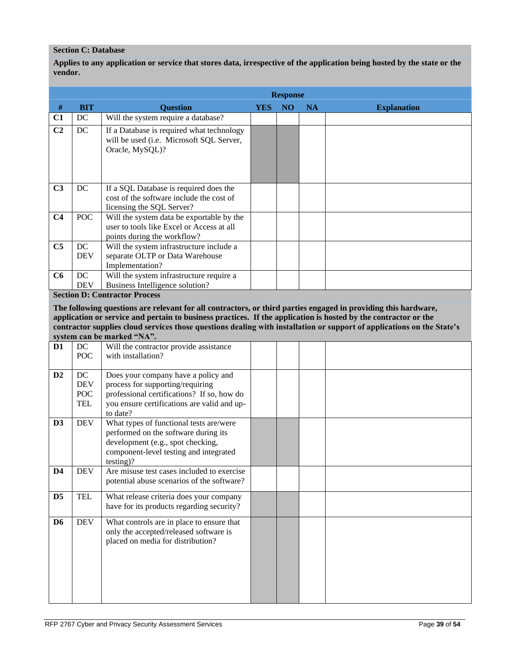### **Section C: Database**

**Applies to any application or service that stores data, irrespective of the application being hosted by the state or the vendor.**

|                |                   | <b>Response</b>                                                                                                       |     |                |           |                    |  |  |  |
|----------------|-------------------|-----------------------------------------------------------------------------------------------------------------------|-----|----------------|-----------|--------------------|--|--|--|
| #              | <b>BIT</b>        | <b>Ouestion</b>                                                                                                       | YES | N <sub>O</sub> | <b>NA</b> | <b>Explanation</b> |  |  |  |
| C1             | DC                | Will the system require a database?                                                                                   |     |                |           |                    |  |  |  |
| C <sub>2</sub> | DC                | If a Database is required what technology<br>will be used (i.e. Microsoft SQL Server,<br>Oracle, MySQL)?              |     |                |           |                    |  |  |  |
| C <sub>3</sub> | DC                | If a SQL Database is required does the<br>cost of the software include the cost of<br>licensing the SQL Server?       |     |                |           |                    |  |  |  |
| C <sub>4</sub> | POC               | Will the system data be exportable by the<br>user to tools like Excel or Access at all<br>points during the workflow? |     |                |           |                    |  |  |  |
| C <sub>5</sub> | DC<br><b>DEV</b>  | Will the system infrastructure include a<br>separate OLTP or Data Warehouse<br>Implementation?                        |     |                |           |                    |  |  |  |
| C6             | DC.<br><b>DEV</b> | Will the system infrastructure require a<br>Business Intelligence solution?                                           |     |                |           |                    |  |  |  |

**Section D: Contractor Process**

**The following questions are relevant for all contractors, or third parties engaged in providing this hardware, application or service and pertain to business practices. If the application is hosted by the contractor or the contractor supplies cloud services those questions dealing with installation or support of applications on the State's system can be marked "NA".**

|                |            | $\mathbf{u}$ $\mathbf{v}$ $\mathbf{u}$ $\mathbf{u}$ $\mathbf{v}$ $\mathbf{v}$ $\mathbf{v}$ $\mathbf{v}$ $\mathbf{v}$ $\mathbf{v}$ $\mathbf{v}$ |  |  |
|----------------|------------|------------------------------------------------------------------------------------------------------------------------------------------------|--|--|
| D <sub>1</sub> | DC         | Will the contractor provide assistance                                                                                                         |  |  |
|                | <b>POC</b> | with installation?                                                                                                                             |  |  |
|                |            |                                                                                                                                                |  |  |
| D <sub>2</sub> | DC         | Does your company have a policy and                                                                                                            |  |  |
|                | <b>DEV</b> | process for supporting/requiring                                                                                                               |  |  |
|                | POC        | professional certifications? If so, how do                                                                                                     |  |  |
|                | <b>TEL</b> | you ensure certifications are valid and up-                                                                                                    |  |  |
|                |            | to date?                                                                                                                                       |  |  |
| D <sub>3</sub> | <b>DEV</b> | What types of functional tests are/were                                                                                                        |  |  |
|                |            | performed on the software during its                                                                                                           |  |  |
|                |            | development (e.g., spot checking,                                                                                                              |  |  |
|                |            | component-level testing and integrated                                                                                                         |  |  |
|                |            | $testing$ ?                                                                                                                                    |  |  |
| D <sub>4</sub> | <b>DEV</b> | Are misuse test cases included to exercise                                                                                                     |  |  |
|                |            | potential abuse scenarios of the software?                                                                                                     |  |  |
|                |            |                                                                                                                                                |  |  |
| D <sub>5</sub> | <b>TEL</b> | What release criteria does your company                                                                                                        |  |  |
|                |            | have for its products regarding security?                                                                                                      |  |  |
| D <sub>6</sub> | <b>DEV</b> | What controls are in place to ensure that                                                                                                      |  |  |
|                |            | only the accepted/released software is                                                                                                         |  |  |
|                |            | placed on media for distribution?                                                                                                              |  |  |
|                |            |                                                                                                                                                |  |  |
|                |            |                                                                                                                                                |  |  |
|                |            |                                                                                                                                                |  |  |
|                |            |                                                                                                                                                |  |  |
|                |            |                                                                                                                                                |  |  |
|                |            |                                                                                                                                                |  |  |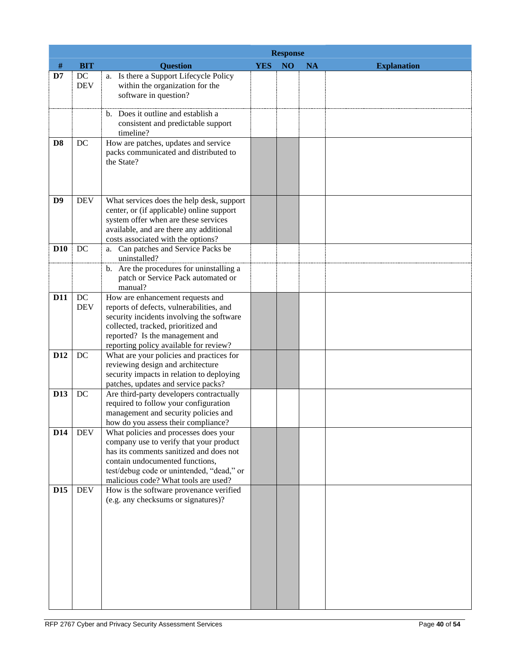|                 |                  | <b>Response</b>                                                                                                                                                                                                                                     |            |    |           |                    |  |  |  |
|-----------------|------------------|-----------------------------------------------------------------------------------------------------------------------------------------------------------------------------------------------------------------------------------------------------|------------|----|-----------|--------------------|--|--|--|
| $\#$            | <b>BIT</b>       | <b>Question</b>                                                                                                                                                                                                                                     | <b>YES</b> | NO | <b>NA</b> | <b>Explanation</b> |  |  |  |
| D7              | DC<br><b>DEV</b> | a. Is there a Support Lifecycle Policy<br>within the organization for the<br>software in question?                                                                                                                                                  |            |    |           |                    |  |  |  |
|                 |                  | b. Does it outline and establish a<br>consistent and predictable support<br>timeline?                                                                                                                                                               |            |    |           |                    |  |  |  |
| D <sub>8</sub>  | DC               | How are patches, updates and service<br>packs communicated and distributed to<br>the State?                                                                                                                                                         |            |    |           |                    |  |  |  |
| D <sub>9</sub>  | <b>DEV</b>       | What services does the help desk, support<br>center, or (if applicable) online support<br>system offer when are these services<br>available, and are there any additional<br>costs associated with the options?                                     |            |    |           |                    |  |  |  |
| <b>D10</b>      | DC               | a. Can patches and Service Packs be<br>uninstalled?<br>b. Are the procedures for uninstalling a                                                                                                                                                     |            |    |           |                    |  |  |  |
|                 |                  | patch or Service Pack automated or<br>manual?                                                                                                                                                                                                       |            |    |           |                    |  |  |  |
| <b>D11</b>      | DC<br><b>DEV</b> | How are enhancement requests and<br>reports of defects, vulnerabilities, and<br>security incidents involving the software<br>collected, tracked, prioritized and<br>reported? Is the management and<br>reporting policy available for review?       |            |    |           |                    |  |  |  |
| D <sub>12</sub> | DC               | What are your policies and practices for<br>reviewing design and architecture<br>security impacts in relation to deploying<br>patches, updates and service packs?                                                                                   |            |    |           |                    |  |  |  |
| D13             | DC               | Are third-party developers contractually<br>required to follow your configuration<br>management and security policies and<br>how do you assess their compliance?                                                                                    |            |    |           |                    |  |  |  |
| D <sub>14</sub> | <b>DEV</b>       | What policies and processes does your<br>company use to verify that your product<br>has its comments sanitized and does not<br>contain undocumented functions,<br>test/debug code or unintended, "dead," or<br>malicious code? What tools are used? |            |    |           |                    |  |  |  |
| D <sub>15</sub> | <b>DEV</b>       | How is the software provenance verified<br>(e.g. any checksums or signatures)?                                                                                                                                                                      |            |    |           |                    |  |  |  |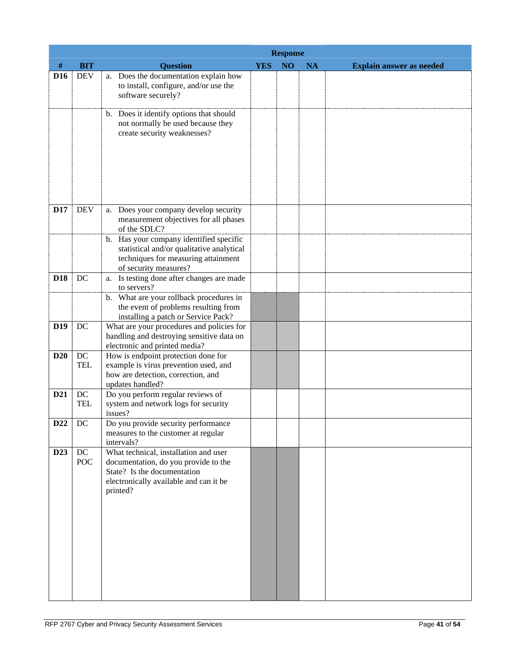|                 |                  |                                                                                                                                                                    | <b>Response</b> |    |           |                                 |  |  |
|-----------------|------------------|--------------------------------------------------------------------------------------------------------------------------------------------------------------------|-----------------|----|-----------|---------------------------------|--|--|
| $\#$            | <b>BIT</b>       | <b>Question</b>                                                                                                                                                    | <b>YES</b>      | NO | <b>NA</b> | <b>Explain answer as needed</b> |  |  |
| D <sub>16</sub> | <b>DEV</b>       | a. Does the documentation explain how<br>to install, configure, and/or use the<br>software securely?                                                               |                 |    |           |                                 |  |  |
|                 |                  | b. Does it identify options that should<br>not normally be used because they<br>create security weaknesses?                                                        |                 |    |           |                                 |  |  |
| D17             | <b>DEV</b>       | a. Does your company develop security<br>measurement objectives for all phases<br>of the SDLC?                                                                     |                 |    |           |                                 |  |  |
|                 |                  | b. Has your company identified specific<br>statistical and/or qualitative analytical<br>techniques for measuring attainment<br>of security measures?               |                 |    |           |                                 |  |  |
| <b>D18</b>      | DC               | a. Is testing done after changes are made<br>to servers?                                                                                                           |                 |    |           |                                 |  |  |
|                 |                  | b. What are your rollback procedures in<br>the event of problems resulting from<br>installing a patch or Service Pack?                                             |                 |    |           |                                 |  |  |
| D <sub>19</sub> | DC               | What are your procedures and policies for<br>handling and destroying sensitive data on<br>electronic and printed media?                                            |                 |    |           |                                 |  |  |
| <b>D20</b>      | DC<br><b>TEL</b> | How is endpoint protection done for<br>example is virus prevention used, and<br>how are detection, correction, and<br>updates handled?                             |                 |    |           |                                 |  |  |
| D <sub>21</sub> | DC<br><b>TEL</b> | Do you perform regular reviews of<br>system and network logs for security<br>issues?                                                                               |                 |    |           |                                 |  |  |
| D22             | $DC$             | Do you provide security performance<br>measures to the customer at regular<br>intervals?                                                                           |                 |    |           |                                 |  |  |
| D <sub>23</sub> | DC<br>POC        | What technical, installation and user<br>documentation, do you provide to the<br>State? Is the documentation<br>electronically available and can it be<br>printed? |                 |    |           |                                 |  |  |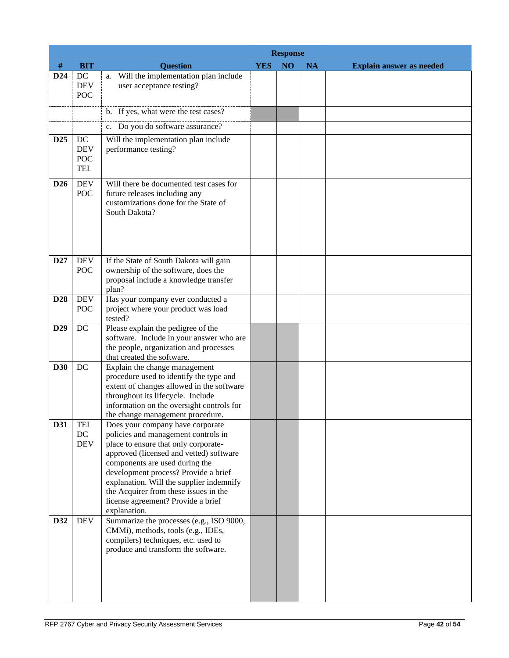|                 |                                              |                                                                                                                                                                                                                                                                                                                                                                                 | <b>Response</b> |                 |           |                                 |  |  |  |
|-----------------|----------------------------------------------|---------------------------------------------------------------------------------------------------------------------------------------------------------------------------------------------------------------------------------------------------------------------------------------------------------------------------------------------------------------------------------|-----------------|-----------------|-----------|---------------------------------|--|--|--|
| #               | <b>BIT</b>                                   | <b>Question</b>                                                                                                                                                                                                                                                                                                                                                                 | <b>YES</b>      | NO <sub>1</sub> | <b>NA</b> | <b>Explain answer as needed</b> |  |  |  |
| D <sub>24</sub> | DC<br><b>DEV</b><br><b>POC</b>               | a. Will the implementation plan include<br>user acceptance testing?                                                                                                                                                                                                                                                                                                             |                 |                 |           |                                 |  |  |  |
|                 |                                              | b. If yes, what were the test cases?                                                                                                                                                                                                                                                                                                                                            |                 |                 |           |                                 |  |  |  |
|                 |                                              | c. Do you do software assurance?                                                                                                                                                                                                                                                                                                                                                |                 |                 |           |                                 |  |  |  |
| D <sub>25</sub> | DC<br><b>DEV</b><br><b>POC</b><br><b>TEL</b> | Will the implementation plan include<br>performance testing?                                                                                                                                                                                                                                                                                                                    |                 |                 |           |                                 |  |  |  |
| D <sub>26</sub> | <b>DEV</b><br>POC                            | Will there be documented test cases for<br>future releases including any<br>customizations done for the State of<br>South Dakota?                                                                                                                                                                                                                                               |                 |                 |           |                                 |  |  |  |
| D27             | <b>DEV</b><br>POC                            | If the State of South Dakota will gain<br>ownership of the software, does the<br>proposal include a knowledge transfer<br>plan?                                                                                                                                                                                                                                                 |                 |                 |           |                                 |  |  |  |
| D28             | <b>DEV</b><br><b>POC</b>                     | Has your company ever conducted a<br>project where your product was load<br>tested?                                                                                                                                                                                                                                                                                             |                 |                 |           |                                 |  |  |  |
| D <sub>29</sub> | $DC$                                         | Please explain the pedigree of the<br>software. Include in your answer who are<br>the people, organization and processes<br>that created the software.                                                                                                                                                                                                                          |                 |                 |           |                                 |  |  |  |
| <b>D30</b>      | $DC$                                         | Explain the change management<br>procedure used to identify the type and<br>extent of changes allowed in the software<br>throughout its lifecycle. Include<br>information on the oversight controls for<br>the change management procedure.                                                                                                                                     |                 |                 |           |                                 |  |  |  |
| D31             | <b>TEL</b><br>DC<br><b>DEV</b>               | Does your company have corporate<br>policies and management controls in<br>place to ensure that only corporate-<br>approved (licensed and vetted) software<br>components are used during the<br>development process? Provide a brief<br>explanation. Will the supplier indemnify<br>the Acquirer from these issues in the<br>license agreement? Provide a brief<br>explanation. |                 |                 |           |                                 |  |  |  |
| D32             | <b>DEV</b>                                   | Summarize the processes (e.g., ISO 9000,<br>CMMi), methods, tools (e.g., IDEs,<br>compilers) techniques, etc. used to<br>produce and transform the software.                                                                                                                                                                                                                    |                 |                 |           |                                 |  |  |  |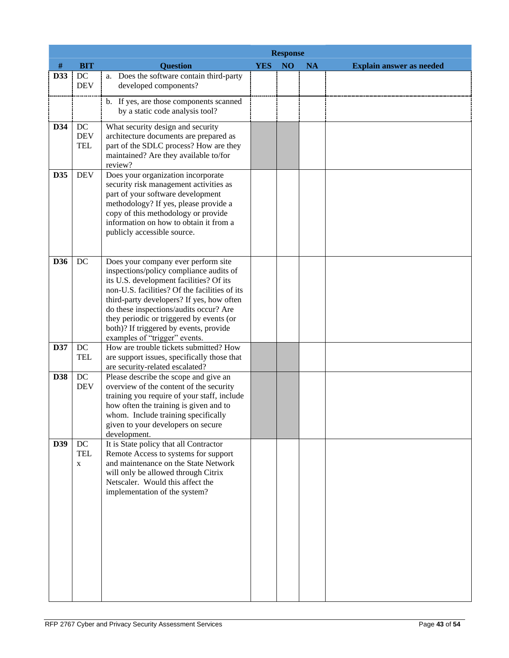|            |                                                  |                                                                                                                                                                                                                                                                                                                                                                                          | <b>Response</b> |                 |           |                                 |  |  |  |
|------------|--------------------------------------------------|------------------------------------------------------------------------------------------------------------------------------------------------------------------------------------------------------------------------------------------------------------------------------------------------------------------------------------------------------------------------------------------|-----------------|-----------------|-----------|---------------------------------|--|--|--|
| #          | <b>BIT</b>                                       | <b>Question</b>                                                                                                                                                                                                                                                                                                                                                                          | <b>YES</b>      | NO <sub>1</sub> | <b>NA</b> | <b>Explain answer as needed</b> |  |  |  |
| D33        | $\operatorname{DC}$<br><b>DEV</b>                | a. Does the software contain third-party<br>developed components?                                                                                                                                                                                                                                                                                                                        |                 |                 |           |                                 |  |  |  |
|            |                                                  | b. If yes, are those components scanned<br>by a static code analysis tool?                                                                                                                                                                                                                                                                                                               |                 |                 |           |                                 |  |  |  |
| D34        | DC<br><b>DEV</b><br><b>TEL</b>                   | What security design and security<br>architecture documents are prepared as<br>part of the SDLC process? How are they<br>maintained? Are they available to/for<br>review?                                                                                                                                                                                                                |                 |                 |           |                                 |  |  |  |
| D35        | <b>DEV</b>                                       | Does your organization incorporate<br>security risk management activities as<br>part of your software development<br>methodology? If yes, please provide a<br>copy of this methodology or provide<br>information on how to obtain it from a<br>publicly accessible source.                                                                                                               |                 |                 |           |                                 |  |  |  |
| D36        | DC                                               | Does your company ever perform site<br>inspections/policy compliance audits of<br>its U.S. development facilities? Of its<br>non-U.S. facilities? Of the facilities of its<br>third-party developers? If yes, how often<br>do these inspections/audits occur? Are<br>they periodic or triggered by events (or<br>both)? If triggered by events, provide<br>examples of "trigger" events. |                 |                 |           |                                 |  |  |  |
| D37        | DC<br><b>TEL</b>                                 | How are trouble tickets submitted? How<br>are support issues, specifically those that<br>are security-related escalated?                                                                                                                                                                                                                                                                 |                 |                 |           |                                 |  |  |  |
| <b>D38</b> | DC<br><b>DEV</b>                                 | Please describe the scope and give an<br>overview of the content of the security<br>training you require of your staff, include<br>how often the training is given and to<br>whom. Include training specifically<br>given to your developers on secure<br>development.                                                                                                                   |                 |                 |           |                                 |  |  |  |
| D39        | $\operatorname{DC}$<br><b>TEL</b><br>$\mathbf X$ | It is State policy that all Contractor<br>Remote Access to systems for support<br>and maintenance on the State Network<br>will only be allowed through Citrix<br>Netscaler. Would this affect the<br>implementation of the system?                                                                                                                                                       |                 |                 |           |                                 |  |  |  |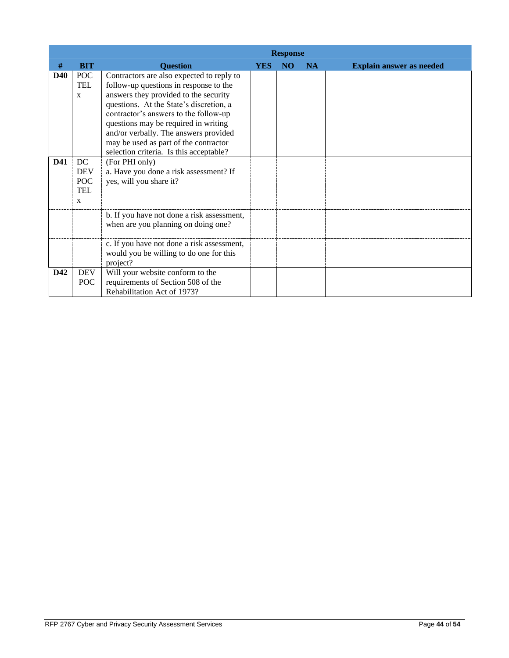|            |                   | <b>Response</b>                            |            |                |           |                                 |  |  |  |
|------------|-------------------|--------------------------------------------|------------|----------------|-----------|---------------------------------|--|--|--|
| #          | <b>BIT</b>        | <b>Question</b>                            | <b>YES</b> | N <sub>O</sub> | <b>NA</b> | <b>Explain answer as needed</b> |  |  |  |
| <b>D40</b> | POC               | Contractors are also expected to reply to  |            |                |           |                                 |  |  |  |
|            | <b>TEL</b>        | follow-up questions in response to the     |            |                |           |                                 |  |  |  |
|            | $\mathbf{x}$      | answers they provided to the security      |            |                |           |                                 |  |  |  |
|            |                   | questions. At the State's discretion, a    |            |                |           |                                 |  |  |  |
|            |                   | contractor's answers to the follow-up      |            |                |           |                                 |  |  |  |
|            |                   | questions may be required in writing       |            |                |           |                                 |  |  |  |
|            |                   | and/or verbally. The answers provided      |            |                |           |                                 |  |  |  |
|            |                   | may be used as part of the contractor      |            |                |           |                                 |  |  |  |
|            |                   | selection criteria. Is this acceptable?    |            |                |           |                                 |  |  |  |
| <b>D41</b> | DC                | (For PHI only)                             |            |                |           |                                 |  |  |  |
|            | <b>DEV</b>        | a. Have you done a risk assessment? If     |            |                |           |                                 |  |  |  |
|            | POC<br><b>TEL</b> | yes, will you share it?                    |            |                |           |                                 |  |  |  |
|            |                   |                                            |            |                |           |                                 |  |  |  |
|            | $\mathbf{X}$      |                                            |            |                |           |                                 |  |  |  |
|            |                   | b. If you have not done a risk assessment, |            |                |           |                                 |  |  |  |
|            |                   | when are you planning on doing one?        |            |                |           |                                 |  |  |  |
|            |                   |                                            |            |                |           |                                 |  |  |  |
|            |                   | c. If you have not done a risk assessment, |            |                |           |                                 |  |  |  |
|            |                   | would you be willing to do one for this    |            |                |           |                                 |  |  |  |
|            |                   | project?                                   |            |                |           |                                 |  |  |  |
| D42        | <b>DEV</b>        | Will your website conform to the           |            |                |           |                                 |  |  |  |
|            | POC               | requirements of Section 508 of the         |            |                |           |                                 |  |  |  |
|            |                   | Rehabilitation Act of 1973?                |            |                |           |                                 |  |  |  |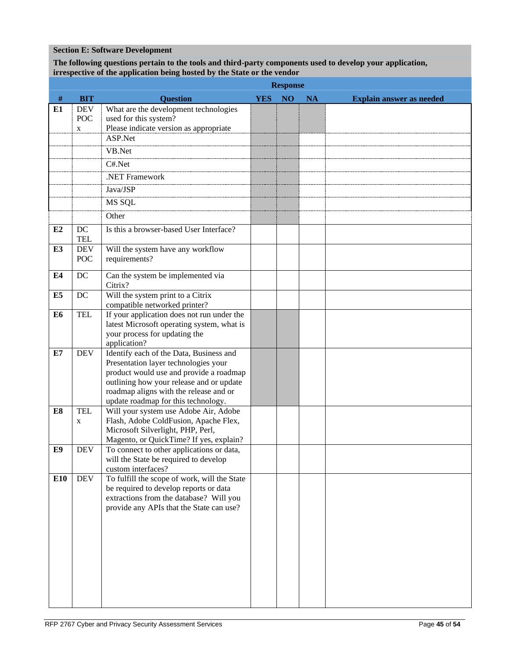## **Section E: Software Development**

## **The following questions pertain to the tools and third-party components used to develop your application, irrespective of the application being hosted by the State or the vendor**

|                |                  | <b>Response</b>                                                                                                                                                                                                                                         |            |    |           |                                 |  |  |
|----------------|------------------|---------------------------------------------------------------------------------------------------------------------------------------------------------------------------------------------------------------------------------------------------------|------------|----|-----------|---------------------------------|--|--|
| $\#$           | <b>BIT</b>       | <b>Question</b>                                                                                                                                                                                                                                         | <b>YES</b> | NO | <b>NA</b> | <b>Explain answer as needed</b> |  |  |
| E1             | <b>DEV</b>       | What are the development technologies                                                                                                                                                                                                                   |            |    |           |                                 |  |  |
|                | POC<br>X         | used for this system?<br>Please indicate version as appropriate                                                                                                                                                                                         |            |    |           |                                 |  |  |
|                |                  | ASP.Net                                                                                                                                                                                                                                                 |            |    |           |                                 |  |  |
|                |                  | VB.Net                                                                                                                                                                                                                                                  |            |    |           |                                 |  |  |
|                |                  | C#.Net                                                                                                                                                                                                                                                  |            |    |           |                                 |  |  |
|                |                  | .NET Framework                                                                                                                                                                                                                                          |            |    |           |                                 |  |  |
|                |                  | Java/JSP                                                                                                                                                                                                                                                |            |    |           |                                 |  |  |
|                |                  | MS SQL                                                                                                                                                                                                                                                  |            |    |           |                                 |  |  |
|                |                  | Other                                                                                                                                                                                                                                                   |            |    |           |                                 |  |  |
| E2             | DC<br><b>TEL</b> | Is this a browser-based User Interface?                                                                                                                                                                                                                 |            |    |           |                                 |  |  |
| E3             | <b>DEV</b>       | Will the system have any workflow                                                                                                                                                                                                                       |            |    |           |                                 |  |  |
|                | <b>POC</b>       | requirements?                                                                                                                                                                                                                                           |            |    |           |                                 |  |  |
| E4             | DC               | Can the system be implemented via<br>Citrix?                                                                                                                                                                                                            |            |    |           |                                 |  |  |
| E <sub>5</sub> | DC               | Will the system print to a Citrix<br>compatible networked printer?                                                                                                                                                                                      |            |    |           |                                 |  |  |
| E6             | <b>TEL</b>       | If your application does not run under the<br>latest Microsoft operating system, what is<br>your process for updating the<br>application?                                                                                                               |            |    |           |                                 |  |  |
| E7             | <b>DEV</b>       | Identify each of the Data, Business and<br>Presentation layer technologies your<br>product would use and provide a roadmap<br>outlining how your release and or update<br>roadmap aligns with the release and or<br>update roadmap for this technology. |            |    |           |                                 |  |  |
| E8             | <b>TEL</b><br>X  | Will your system use Adobe Air, Adobe<br>Flash, Adobe ColdFusion, Apache Flex,<br>Microsoft Silverlight, PHP, Perl,<br>Magento, or QuickTime? If yes, explain?                                                                                          |            |    |           |                                 |  |  |
| E9             | <b>DEV</b>       | To connect to other applications or data,<br>will the State be required to develop<br>custom interfaces?                                                                                                                                                |            |    |           |                                 |  |  |
| <b>E10</b>     | <b>DEV</b>       | To fulfill the scope of work, will the State<br>be required to develop reports or data<br>extractions from the database? Will you<br>provide any APIs that the State can use?                                                                           |            |    |           |                                 |  |  |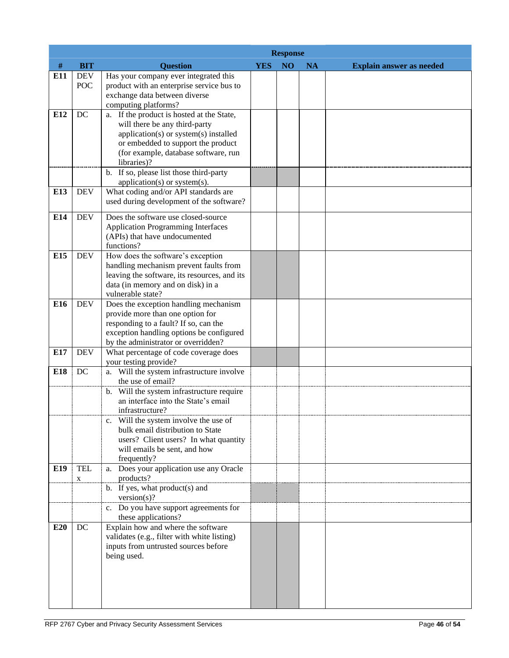|     |                   |                                                                                                                                                                                                                  | <b>Response</b> |    |           |                                 |  |  |
|-----|-------------------|------------------------------------------------------------------------------------------------------------------------------------------------------------------------------------------------------------------|-----------------|----|-----------|---------------------------------|--|--|
| #   | <b>BIT</b>        | <b>Question</b>                                                                                                                                                                                                  | <b>YES</b>      | NO | <b>NA</b> | <b>Explain answer as needed</b> |  |  |
| E11 | <b>DEV</b><br>POC | Has your company ever integrated this<br>product with an enterprise service bus to<br>exchange data between diverse<br>computing platforms?                                                                      |                 |    |           |                                 |  |  |
| E12 | DC                | a. If the product is hosted at the State,<br>will there be any third-party<br>application(s) or system(s) installed<br>or embedded to support the product<br>(for example, database software, run<br>libraries)? |                 |    |           |                                 |  |  |
|     |                   | b. If so, please list those third-party<br>application(s) or system(s).                                                                                                                                          |                 |    |           |                                 |  |  |
| E13 | <b>DEV</b>        | What coding and/or API standards are<br>used during development of the software?                                                                                                                                 |                 |    |           |                                 |  |  |
| E14 | <b>DEV</b>        | Does the software use closed-source<br><b>Application Programming Interfaces</b><br>(APIs) that have undocumented<br>functions?                                                                                  |                 |    |           |                                 |  |  |
| E15 | <b>DEV</b>        | How does the software's exception<br>handling mechanism prevent faults from<br>leaving the software, its resources, and its<br>data (in memory and on disk) in a<br>vulnerable state?                            |                 |    |           |                                 |  |  |
| E16 | <b>DEV</b>        | Does the exception handling mechanism<br>provide more than one option for<br>responding to a fault? If so, can the<br>exception handling options be configured<br>by the administrator or overridden?            |                 |    |           |                                 |  |  |
| E17 | <b>DEV</b>        | What percentage of code coverage does<br>your testing provide?                                                                                                                                                   |                 |    |           |                                 |  |  |
| E18 | DC                | a. Will the system infrastructure involve<br>the use of email?                                                                                                                                                   |                 |    |           |                                 |  |  |
|     |                   | b. Will the system infrastructure require<br>an interface into the State's email<br>infrastructure?                                                                                                              |                 |    |           |                                 |  |  |
|     |                   | c. Will the system involve the use of<br>bulk email distribution to State<br>users? Client users? In what quantity<br>will emails be sent, and how<br>frequently?                                                |                 |    |           |                                 |  |  |
| E19 | <b>TEL</b><br>X   | a. Does your application use any Oracle<br>products?                                                                                                                                                             |                 |    |           |                                 |  |  |
|     |                   | b. If yes, what product(s) and<br>version(s)?                                                                                                                                                                    |                 |    |           |                                 |  |  |
|     |                   | c. Do you have support agreements for<br>these applications?                                                                                                                                                     |                 |    |           |                                 |  |  |
| E20 | DC                | Explain how and where the software<br>validates (e.g., filter with white listing)<br>inputs from untrusted sources before<br>being used.                                                                         |                 |    |           |                                 |  |  |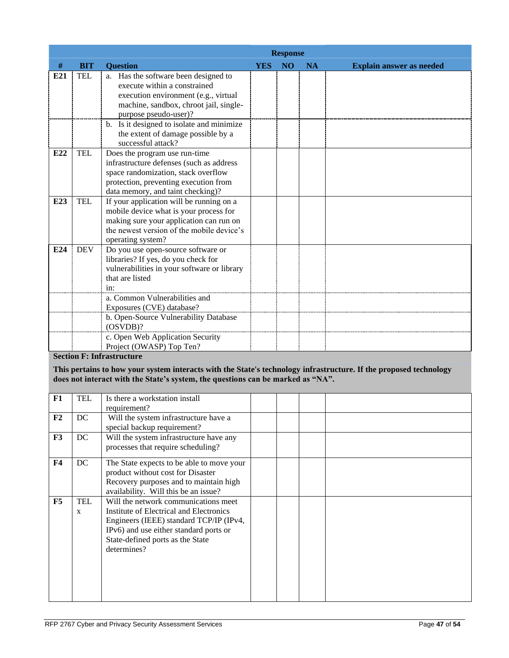|      |            | <b>Response</b>                                                                                                                                                                                                              |            |                |           |                                 |  |  |  |
|------|------------|------------------------------------------------------------------------------------------------------------------------------------------------------------------------------------------------------------------------------|------------|----------------|-----------|---------------------------------|--|--|--|
| $\#$ | <b>BIT</b> | <b>Ouestion</b>                                                                                                                                                                                                              | <b>YES</b> | N <sub>O</sub> | <b>NA</b> | <b>Explain answer as needed</b> |  |  |  |
| E21  | <b>TEL</b> | a. Has the software been designed to<br>execute within a constrained<br>execution environment (e.g., virtual<br>machine, sandbox, chroot jail, single-<br>purpose pseudo-user)?<br>b. Is it designed to isolate and minimize |            |                |           |                                 |  |  |  |
|      |            | the extent of damage possible by a<br>successful attack?                                                                                                                                                                     |            |                |           |                                 |  |  |  |
| E22  | <b>TEL</b> | Does the program use run-time<br>infrastructure defenses (such as address<br>space randomization, stack overflow<br>protection, preventing execution from<br>data memory, and taint checking)?                               |            |                |           |                                 |  |  |  |
| E23  | <b>TEL</b> | If your application will be running on a<br>mobile device what is your process for<br>making sure your application can run on<br>the newest version of the mobile device's<br>operating system?                              |            |                |           |                                 |  |  |  |
| E24  | <b>DEV</b> | Do you use open-source software or<br>libraries? If yes, do you check for<br>vulnerabilities in your software or library<br>that are listed<br>$1n$ :                                                                        |            |                |           |                                 |  |  |  |
|      |            | a. Common Vulnerabilities and<br>Exposures (CVE) database?                                                                                                                                                                   |            |                |           |                                 |  |  |  |
|      |            | b. Open-Source Vulnerability Database<br>(OSVDB)?                                                                                                                                                                            |            |                |           |                                 |  |  |  |
|      |            | c. Open Web Application Security<br>Project (OWASP) Top Ten?                                                                                                                                                                 |            |                |           |                                 |  |  |  |

# **Section F: Infrastructure**

**This pertains to how your system interacts with the State's technology infrastructure. If the proposed technology does not interact with the State's system, the questions can be marked as "NA".** 

| F1             | <b>TEL</b>      | Is there a workstation install<br>requirement?                                                                                                                                                                          |  |  |
|----------------|-----------------|-------------------------------------------------------------------------------------------------------------------------------------------------------------------------------------------------------------------------|--|--|
| F <sub>2</sub> | DC              | Will the system infrastructure have a<br>special backup requirement?                                                                                                                                                    |  |  |
| F3             | DC              | Will the system infrastructure have any<br>processes that require scheduling?                                                                                                                                           |  |  |
| <b>F4</b>      | DC              | The State expects to be able to move your<br>product without cost for Disaster<br>Recovery purposes and to maintain high<br>availability. Will this be an issue?                                                        |  |  |
| F5             | <b>TEL</b><br>X | Will the network communications meet<br>Institute of Electrical and Electronics<br>Engineers (IEEE) standard TCP/IP (IPv4,<br>IPv6) and use either standard ports or<br>State-defined ports as the State<br>determines? |  |  |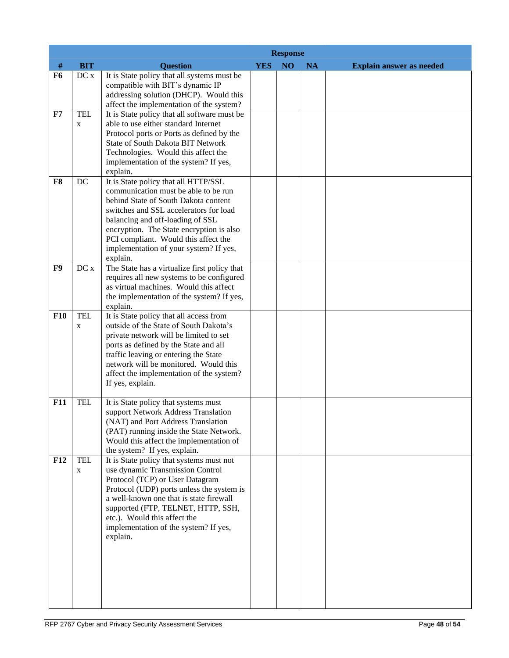|                |                           |                                                                                                                                                                                                                                                                                                                                              | <b>Response</b> |                 |           |                                 |  |
|----------------|---------------------------|----------------------------------------------------------------------------------------------------------------------------------------------------------------------------------------------------------------------------------------------------------------------------------------------------------------------------------------------|-----------------|-----------------|-----------|---------------------------------|--|
| $\#$           | <b>BIT</b>                | <b>Question</b>                                                                                                                                                                                                                                                                                                                              | <b>YES</b>      | NO <sub>1</sub> | <b>NA</b> | <b>Explain answer as needed</b> |  |
| F <sub>6</sub> | DC x                      | It is State policy that all systems must be<br>compatible with BIT's dynamic IP<br>addressing solution (DHCP). Would this<br>affect the implementation of the system?                                                                                                                                                                        |                 |                 |           |                                 |  |
| F7             | <b>TEL</b><br>$\mathbf X$ | It is State policy that all software must be<br>able to use either standard Internet<br>Protocol ports or Ports as defined by the<br><b>State of South Dakota BIT Network</b><br>Technologies. Would this affect the<br>implementation of the system? If yes,<br>explain.                                                                    |                 |                 |           |                                 |  |
| F8             | DC                        | It is State policy that all HTTP/SSL<br>communication must be able to be run<br>behind State of South Dakota content<br>switches and SSL accelerators for load<br>balancing and off-loading of SSL<br>encryption. The State encryption is also<br>PCI compliant. Would this affect the<br>implementation of your system? If yes,<br>explain. |                 |                 |           |                                 |  |
| F9             | DC x                      | The State has a virtualize first policy that<br>requires all new systems to be configured<br>as virtual machines. Would this affect<br>the implementation of the system? If yes,<br>explain.                                                                                                                                                 |                 |                 |           |                                 |  |
| <b>F10</b>     | <b>TEL</b><br>$\mathbf X$ | It is State policy that all access from<br>outside of the State of South Dakota's<br>private network will be limited to set<br>ports as defined by the State and all<br>traffic leaving or entering the State<br>network will be monitored. Would this<br>affect the implementation of the system?<br>If yes, explain.                       |                 |                 |           |                                 |  |
| F11            | <b>TEL</b>                | It is State policy that systems must<br>support Network Address Translation<br>(NAT) and Port Address Translation<br>(PAT) running inside the State Network.<br>Would this affect the implementation of<br>the system? If yes, explain.                                                                                                      |                 |                 |           |                                 |  |
| F12            | <b>TEL</b><br>X           | It is State policy that systems must not<br>use dynamic Transmission Control<br>Protocol (TCP) or User Datagram<br>Protocol (UDP) ports unless the system is<br>a well-known one that is state firewall<br>supported (FTP, TELNET, HTTP, SSH,<br>etc.). Would this affect the<br>implementation of the system? If yes,<br>explain.           |                 |                 |           |                                 |  |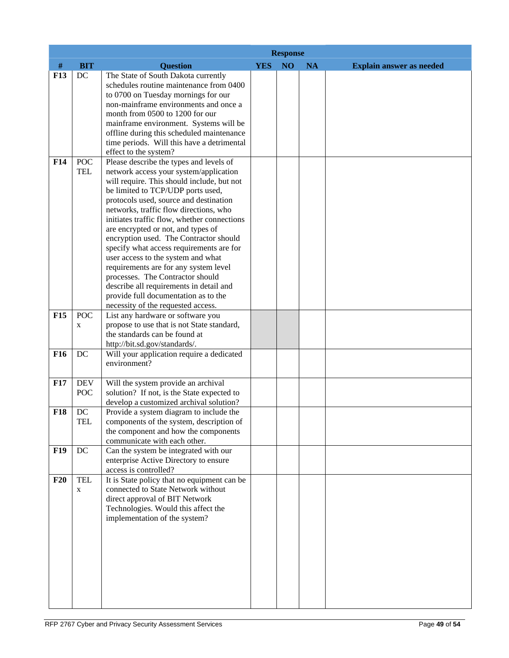|                 |                          | <b>Response</b>                                                                                                                                                                                                                                                                                                                                                                                                                                                                                                                                                                                                                                                           |            |                 |           |                                 |
|-----------------|--------------------------|---------------------------------------------------------------------------------------------------------------------------------------------------------------------------------------------------------------------------------------------------------------------------------------------------------------------------------------------------------------------------------------------------------------------------------------------------------------------------------------------------------------------------------------------------------------------------------------------------------------------------------------------------------------------------|------------|-----------------|-----------|---------------------------------|
| #               | <b>BIT</b>               | <b>Question</b>                                                                                                                                                                                                                                                                                                                                                                                                                                                                                                                                                                                                                                                           | <b>YES</b> | NO <sub>1</sub> | <b>NA</b> | <b>Explain answer as needed</b> |
| F13             | DC                       | The State of South Dakota currently<br>schedules routine maintenance from 0400<br>to 0700 on Tuesday mornings for our<br>non-mainframe environments and once a<br>month from 0500 to 1200 for our<br>mainframe environment. Systems will be<br>offline during this scheduled maintenance<br>time periods. Will this have a detrimental<br>effect to the system?                                                                                                                                                                                                                                                                                                           |            |                 |           |                                 |
| F <sub>14</sub> | <b>POC</b>               | Please describe the types and levels of                                                                                                                                                                                                                                                                                                                                                                                                                                                                                                                                                                                                                                   |            |                 |           |                                 |
| <b>F15</b>      | <b>TEL</b><br><b>POC</b> | network access your system/application<br>will require. This should include, but not<br>be limited to TCP/UDP ports used,<br>protocols used, source and destination<br>networks, traffic flow directions, who<br>initiates traffic flow, whether connections<br>are encrypted or not, and types of<br>encryption used. The Contractor should<br>specify what access requirements are for<br>user access to the system and what<br>requirements are for any system level<br>processes. The Contractor should<br>describe all requirements in detail and<br>provide full documentation as to the<br>necessity of the requested access.<br>List any hardware or software you |            |                 |           |                                 |
|                 | X                        | propose to use that is not State standard,<br>the standards can be found at<br>http://bit.sd.gov/standards/.                                                                                                                                                                                                                                                                                                                                                                                                                                                                                                                                                              |            |                 |           |                                 |
| F <sub>16</sub> | DC                       | Will your application require a dedicated<br>environment?                                                                                                                                                                                                                                                                                                                                                                                                                                                                                                                                                                                                                 |            |                 |           |                                 |
| F17             | <b>DEV</b><br>POC        | Will the system provide an archival<br>solution? If not, is the State expected to<br>develop a customized archival solution?                                                                                                                                                                                                                                                                                                                                                                                                                                                                                                                                              |            |                 |           |                                 |
| F18             | DC<br>TEL                | Provide a system diagram to include the<br>components of the system, description of<br>the component and how the components<br>communicate with each other.                                                                                                                                                                                                                                                                                                                                                                                                                                                                                                               |            |                 |           |                                 |
| <b>F19</b>      | DC                       | Can the system be integrated with our<br>enterprise Active Directory to ensure<br>access is controlled?                                                                                                                                                                                                                                                                                                                                                                                                                                                                                                                                                                   |            |                 |           |                                 |
| F20             | <b>TEL</b><br>X          | It is State policy that no equipment can be<br>connected to State Network without<br>direct approval of BIT Network<br>Technologies. Would this affect the<br>implementation of the system?                                                                                                                                                                                                                                                                                                                                                                                                                                                                               |            |                 |           |                                 |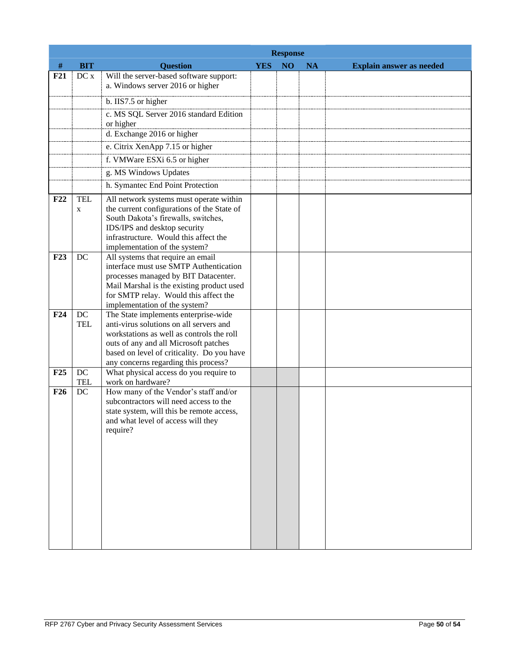|            |                           | <b>Response</b>                                                                                                                                                                                                                                             |            |                 |           |                                 |  |  |
|------------|---------------------------|-------------------------------------------------------------------------------------------------------------------------------------------------------------------------------------------------------------------------------------------------------------|------------|-----------------|-----------|---------------------------------|--|--|
| $\#$       | <b>BIT</b>                | <b>Question</b>                                                                                                                                                                                                                                             | <b>YES</b> | NO <sub>1</sub> | <b>NA</b> | <b>Explain answer as needed</b> |  |  |
| F21        | DC x                      | Will the server-based software support:<br>a. Windows server 2016 or higher                                                                                                                                                                                 |            |                 |           |                                 |  |  |
|            |                           | b. IIS7.5 or higher                                                                                                                                                                                                                                         |            |                 |           |                                 |  |  |
|            |                           | c. MS SQL Server 2016 standard Edition<br>or higher                                                                                                                                                                                                         |            |                 |           |                                 |  |  |
|            |                           | d. Exchange 2016 or higher                                                                                                                                                                                                                                  |            |                 |           |                                 |  |  |
|            |                           | e. Citrix XenApp 7.15 or higher                                                                                                                                                                                                                             |            |                 |           |                                 |  |  |
|            |                           | f. VMWare ESXi 6.5 or higher                                                                                                                                                                                                                                |            |                 |           |                                 |  |  |
|            |                           | g. MS Windows Updates                                                                                                                                                                                                                                       |            |                 |           |                                 |  |  |
|            |                           | h. Symantec End Point Protection                                                                                                                                                                                                                            |            |                 |           |                                 |  |  |
| F22        | <b>TEL</b><br>$\mathbf X$ | All network systems must operate within<br>the current configurations of the State of<br>South Dakota's firewalls, switches,<br>IDS/IPS and desktop security<br>infrastructure. Would this affect the<br>implementation of the system?                      |            |                 |           |                                 |  |  |
| F23        | DC                        | All systems that require an email<br>interface must use SMTP Authentication<br>processes managed by BIT Datacenter.<br>Mail Marshal is the existing product used<br>for SMTP relay. Would this affect the<br>implementation of the system?                  |            |                 |           |                                 |  |  |
| F24        | DC<br><b>TEL</b>          | The State implements enterprise-wide<br>anti-virus solutions on all servers and<br>workstations as well as controls the roll<br>outs of any and all Microsoft patches<br>based on level of criticality. Do you have<br>any concerns regarding this process? |            |                 |           |                                 |  |  |
| F25        | DC                        | What physical access do you require to                                                                                                                                                                                                                      |            |                 |           |                                 |  |  |
| <b>F26</b> | <b>TEL</b><br>DC          | work on hardware?<br>How many of the Vendor's staff and/or<br>subcontractors will need access to the<br>state system, will this be remote access,<br>and what level of access will they<br>require?                                                         |            |                 |           |                                 |  |  |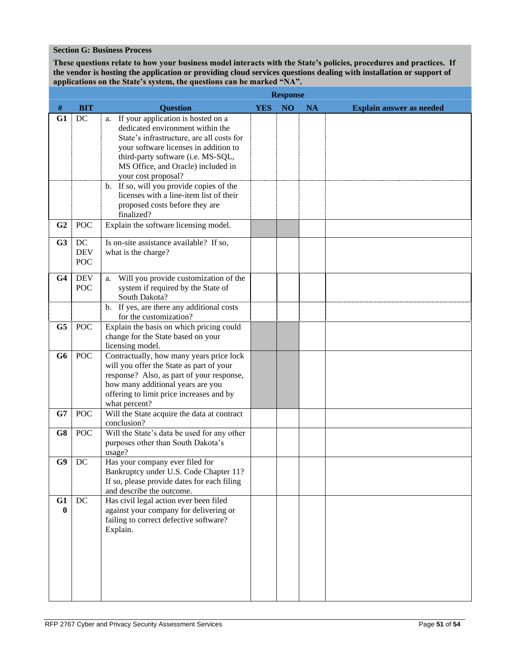#### **Section G: Business Process**

**These questions relate to how your business model interacts with the State's policies, procedures and practices. If the vendor is hosting the application or providing cloud services questions dealing with installation or support of applications on the State's system, the questions can be marked "NA".**

|                |                          | <b>Response</b>                                                                                                                                                                                                                                                                                                                                                                                           |            |                |           |                                 |
|----------------|--------------------------|-----------------------------------------------------------------------------------------------------------------------------------------------------------------------------------------------------------------------------------------------------------------------------------------------------------------------------------------------------------------------------------------------------------|------------|----------------|-----------|---------------------------------|
| #              | <b>BIT</b>               | <b>Question</b>                                                                                                                                                                                                                                                                                                                                                                                           | <b>YES</b> | N <sub>O</sub> | <b>NA</b> | <b>Explain answer as needed</b> |
| G1             | DC                       | a. If your application is hosted on a<br>dedicated environment within the<br>State's infrastructure, are all costs for<br>your software licenses in addition to<br>third-party software (i.e. MS-SQL,<br>MS Office, and Oracle) included in<br>your cost proposal?<br>b. If so, will you provide copies of the<br>licenses with a line-item list of their<br>proposed costs before they are<br>finalized? |            |                |           |                                 |
| G <sub>2</sub> | <b>POC</b>               | Explain the software licensing model.                                                                                                                                                                                                                                                                                                                                                                     |            |                |           |                                 |
| G3             | DC<br><b>DEV</b><br>POC  | Is on-site assistance available? If so,<br>what is the charge?                                                                                                                                                                                                                                                                                                                                            |            |                |           |                                 |
| G <sub>4</sub> | <b>DEV</b><br><b>POC</b> | Will you provide customization of the<br>a.<br>system if required by the State of<br>South Dakota?                                                                                                                                                                                                                                                                                                        |            |                |           |                                 |
|                |                          | b. If yes, are there any additional costs<br>for the customization?                                                                                                                                                                                                                                                                                                                                       |            |                |           |                                 |
| G5             | <b>POC</b>               | Explain the basis on which pricing could<br>change for the State based on your<br>licensing model.                                                                                                                                                                                                                                                                                                        |            |                |           |                                 |
| G6             | <b>POC</b>               | Contractually, how many years price lock<br>will you offer the State as part of your<br>response? Also, as part of your response,<br>how many additional years are you<br>offering to limit price increases and by<br>what percent?                                                                                                                                                                       |            |                |           |                                 |
| G7             | <b>POC</b>               | Will the State acquire the data at contract<br>conclusion?                                                                                                                                                                                                                                                                                                                                                |            |                |           |                                 |
| G8             | <b>POC</b>               | Will the State's data be used for any other<br>purposes other than South Dakota's<br>usage?                                                                                                                                                                                                                                                                                                               |            |                |           |                                 |
| G9             | DC                       | Has your company ever filed for<br>Bankruptcy under U.S. Code Chapter 11?<br>If so, please provide dates for each filing<br>and describe the outcome.                                                                                                                                                                                                                                                     |            |                |           |                                 |
| G1<br>$\bf{0}$ | DC                       | Has civil legal action ever been filed<br>against your company for delivering or<br>failing to correct defective software?<br>Explain.                                                                                                                                                                                                                                                                    |            |                |           |                                 |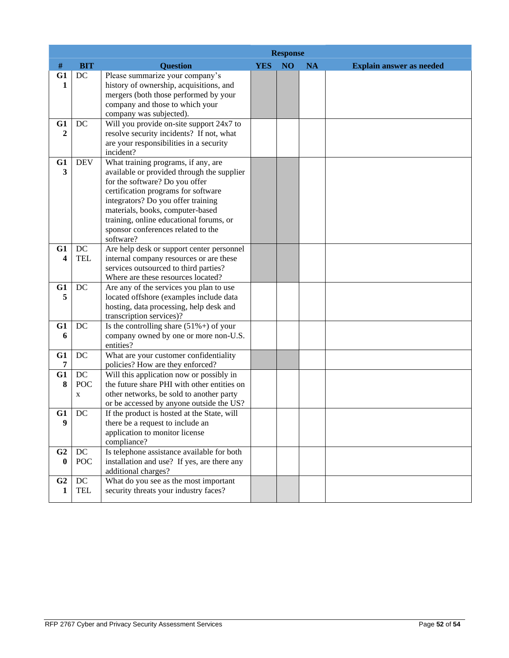|                               |                                 | <b>Response</b>                                                                                                                                                                                                                                                                                                                    |            |    |           |                                 |  |  |
|-------------------------------|---------------------------------|------------------------------------------------------------------------------------------------------------------------------------------------------------------------------------------------------------------------------------------------------------------------------------------------------------------------------------|------------|----|-----------|---------------------------------|--|--|
| $\#$                          | <b>BIT</b>                      | <b>Question</b>                                                                                                                                                                                                                                                                                                                    | <b>YES</b> | NO | <b>NA</b> | <b>Explain answer as needed</b> |  |  |
| G1<br>1                       | DC                              | Please summarize your company's<br>history of ownership, acquisitions, and<br>mergers (both those performed by your<br>company and those to which your<br>company was subjected).                                                                                                                                                  |            |    |           |                                 |  |  |
| G1<br>$\boldsymbol{2}$        | DC                              | Will you provide on-site support 24x7 to<br>resolve security incidents? If not, what<br>are your responsibilities in a security<br>incident?                                                                                                                                                                                       |            |    |           |                                 |  |  |
| G1<br>$\overline{\mathbf{3}}$ | <b>DEV</b>                      | What training programs, if any, are<br>available or provided through the supplier<br>for the software? Do you offer<br>certification programs for software<br>integrators? Do you offer training<br>materials, books, computer-based<br>training, online educational forums, or<br>sponsor conferences related to the<br>software? |            |    |           |                                 |  |  |
| G1<br>4                       | DC<br><b>TEL</b>                | Are help desk or support center personnel<br>internal company resources or are these<br>services outsourced to third parties?<br>Where are these resources located?                                                                                                                                                                |            |    |           |                                 |  |  |
| G1<br>5                       | DC                              | Are any of the services you plan to use<br>located offshore (examples include data<br>hosting, data processing, help desk and<br>transcription services)?                                                                                                                                                                          |            |    |           |                                 |  |  |
| G1<br>6                       | DC                              | Is the controlling share $(51\%+)$ of your<br>company owned by one or more non-U.S.<br>entities?                                                                                                                                                                                                                                   |            |    |           |                                 |  |  |
| G1<br>7                       | DC                              | What are your customer confidentiality<br>policies? How are they enforced?                                                                                                                                                                                                                                                         |            |    |           |                                 |  |  |
| G1<br>8                       | DC<br><b>POC</b><br>$\mathbf X$ | Will this application now or possibly in<br>the future share PHI with other entities on<br>other networks, be sold to another party<br>or be accessed by anyone outside the US?                                                                                                                                                    |            |    |           |                                 |  |  |
| G1<br>9                       | DC                              | If the product is hosted at the State, will<br>there be a request to include an<br>application to monitor license<br>compliance?                                                                                                                                                                                                   |            |    |           |                                 |  |  |
| G <sub>2</sub><br>$\bf{0}$    | DC<br><b>POC</b>                | Is telephone assistance available for both<br>installation and use? If yes, are there any<br>additional charges?                                                                                                                                                                                                                   |            |    |           |                                 |  |  |
| G <sub>2</sub><br>1           | $DC$<br><b>TEL</b>              | What do you see as the most important<br>security threats your industry faces?                                                                                                                                                                                                                                                     |            |    |           |                                 |  |  |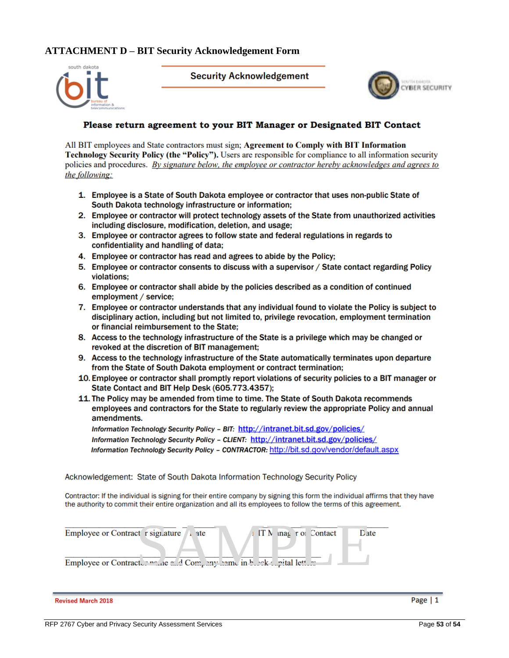# **ATTACHMENT D – BIT Security Acknowledgement Form**



**Security Acknowledgement** 



## Please return agreement to your BIT Manager or Designated BIT Contact

All BIT employees and State contractors must sign; Agreement to Comply with BIT Information Technology Security Policy (the "Policy"). Users are responsible for compliance to all information security policies and procedures. By signature below, the employee or contractor hereby acknowledges and agrees to the following:

- 1. Employee is a State of South Dakota employee or contractor that uses non-public State of South Dakota technology infrastructure or information;
- 2. Employee or contractor will protect technology assets of the State from unauthorized activities including disclosure, modification, deletion, and usage:
- 3. Employee or contractor agrees to follow state and federal regulations in regards to confidentiality and handling of data;
- 4. Employee or contractor has read and agrees to abide by the Policy;
- 5. Employee or contractor consents to discuss with a supervisor / State contact regarding Policy violations:
- 6. Employee or contractor shall abide by the policies described as a condition of continued employment / service:
- 7. Employee or contractor understands that any individual found to violate the Policy is subject to disciplinary action, including but not limited to, privilege revocation, employment termination or financial reimbursement to the State:
- 8. Access to the technology infrastructure of the State is a privilege which may be changed or revoked at the discretion of BIT management;
- 9. Access to the technology infrastructure of the State automatically terminates upon departure from the State of South Dakota employment or contract termination;
- 10. Employee or contractor shall promptly report violations of security policies to a BIT manager or State Contact and BIT Help Desk (605.773.4357);
- 11. The Policy may be amended from time to time. The State of South Dakota recommends employees and contractors for the State to regularly review the appropriate Policy and annual amendments.

Information Technology Security Policy - BIT: http://intranet.bit.sd.gov/policies/ Information Technology Security Policy - CLIENT: http://intranet.bit.sd.gov/policies/ Information Technology Security Policy - CONTRACTOR: http://bit.sd.gov/vendor/default.aspx

Acknowledgement: State of South Dakota Information Technology Security Policy

Contractor: If the individual is signing for their entire company by signing this form the individual affirms that they have the authority to commit their entire organization and all its employees to follow the terms of this agreement.

| Employee or Contract r signature<br>ate <sup></sup>                             | $\parallel$ IT N mag to Contact | Date |
|---------------------------------------------------------------------------------|---------------------------------|------|
| Employee or Contract wine and in the change of Company hame in the ck mital let |                                 |      |